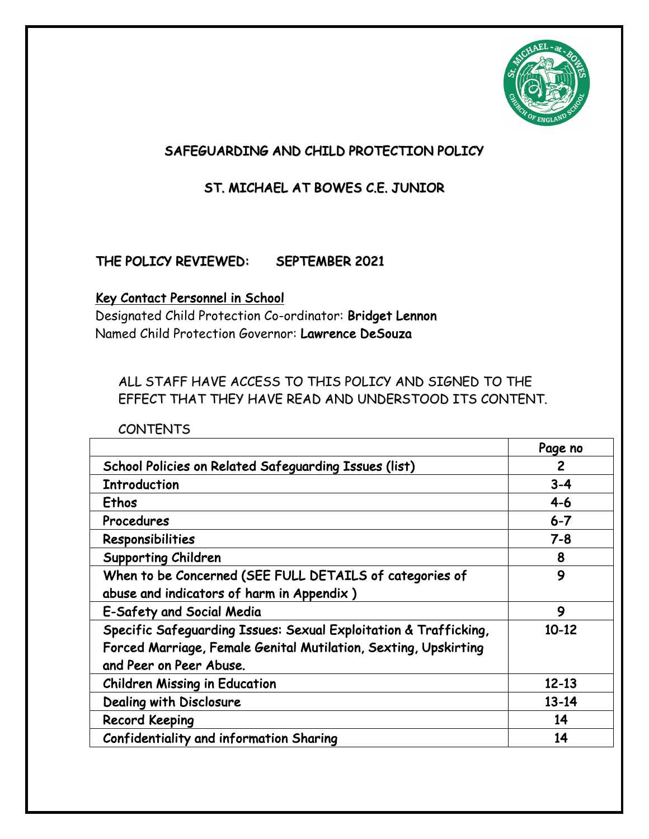

# SAFEGUARDING AND CHILD PROTECTION POLICY

# ST. MICHAEL AT BOWES C.E. JUNIOR

# THE POLICY REVIEWED: SEPTEMBER 2021

#### Key Contact Personnel in School

Designated Child Protection Co-ordinator: Bridget Lennon Named Child Protection Governor: Lawrence DeSouza

## ALL STAFF HAVE ACCESS TO THIS POLICY AND SIGNED TO THE EFFECT THAT THEY HAVE READ AND UNDERSTOOD ITS CONTENT.

CONTENTS

|                                                                  | Page no   |
|------------------------------------------------------------------|-----------|
| School Policies on Related Safeguarding Issues (list)            | 2         |
| <b>Introduction</b>                                              | $3 - 4$   |
| Ethos                                                            | $4 - 6$   |
| Procedures                                                       | $6 - 7$   |
| Responsibilities                                                 | $7 - 8$   |
| <b>Supporting Children</b>                                       | 8         |
| When to be Concerned (SEE FULL DETAILS of categories of          | 9         |
| abuse and indicators of harm in Appendix)                        |           |
| E-Safety and Social Media                                        | 9         |
| Specific Safeguarding Issues: Sexual Exploitation & Trafficking, | $10-12$   |
| Forced Marriage, Female Genital Mutilation, Sexting, Upskirting  |           |
| and Peer on Peer Abuse.                                          |           |
| <b>Children Missing in Education</b>                             | $12 - 13$ |
| Dealing with Disclosure                                          | $13 - 14$ |
| <b>Record Keeping</b>                                            | 14        |
| Confidentiality and information Sharing                          | 14        |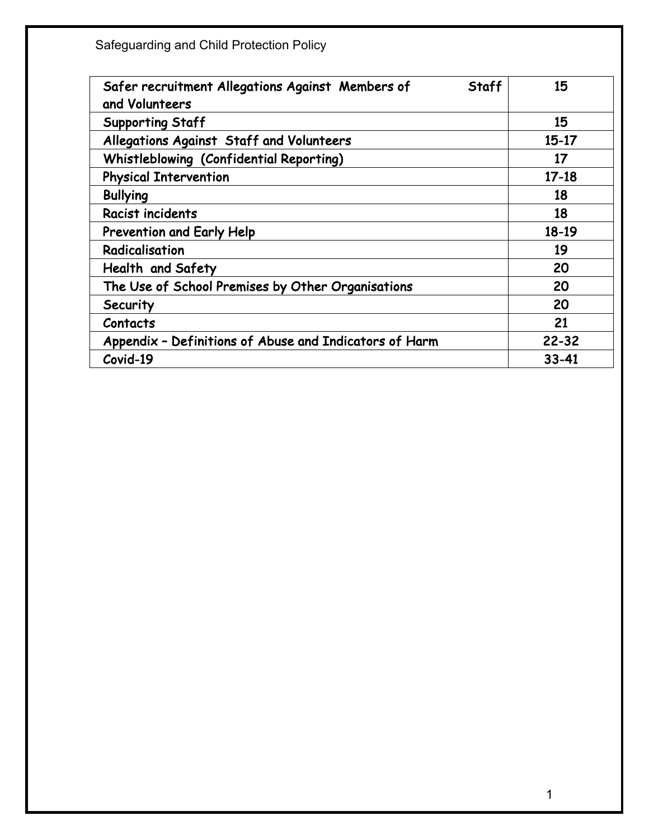| Safer recruitment Allegations Against Members of<br>Staff<br>and Volunteers | 15        |
|-----------------------------------------------------------------------------|-----------|
| <b>Supporting Staff</b>                                                     | 15        |
| Allegations Against Staff and Volunteers                                    | $15-17$   |
| Whistleblowing (Confidential Reporting)                                     | 17        |
| <b>Physical Intervention</b>                                                | $17 - 18$ |
| <b>Bullying</b>                                                             | 18        |
| Racist incidents                                                            | 18        |
| Prevention and Early Help                                                   | $18-19$   |
| Radicalisation                                                              | 19        |
| Health and Safety                                                           | 20        |
| The Use of School Premises by Other Organisations                           | 20        |
| Security                                                                    | 20        |
| Contacts                                                                    | 21        |
| Appendix - Definitions of Abuse and Indicators of Harm                      | $22 - 32$ |
| Covid-19                                                                    | $33 - 41$ |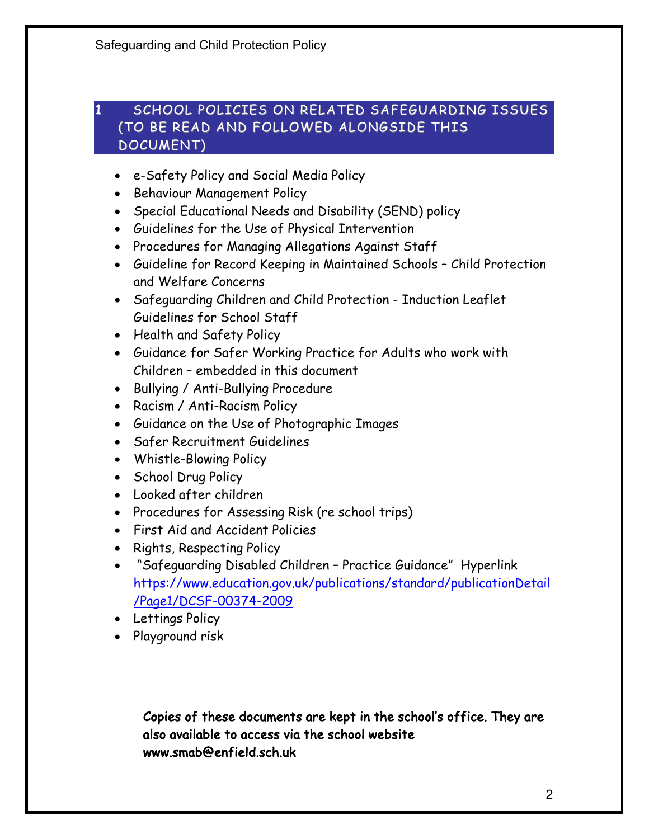## 1 SCHOOL POLICIES ON RELATED SAFEGUARDING ISSUES (TO BE READ AND FOLLOWED ALONGSIDE THIS DOCUMENT)

- e-Safety Policy and Social Media Policy
- Behaviour Management Policy
- Special Educational Needs and Disability (SEND) policy
- Guidelines for the Use of Physical Intervention
- Procedures for Managing Allegations Against Staff
- Guideline for Record Keeping in Maintained Schools Child Protection and Welfare Concerns
- Safeguarding Children and Child Protection Induction Leaflet Guidelines for School Staff
- Health and Safety Policy
- Guidance for Safer Working Practice for Adults who work with Children – embedded in this document
- Bullying / Anti-Bullying Procedure
- Racism / Anti-Racism Policy
- Guidance on the Use of Photographic Images
- Safer Recruitment Guidelines
- Whistle-Blowing Policy
- School Drug Policy
- Looked after children
- Procedures for Assessing Risk (re school trips)
- First Aid and Accident Policies
- Rights, Respecting Policy
- "Safeguarding Disabled Children Practice Guidance" Hyperlink https://www.education.gov.uk/publications/standard/publicationDetail /Page1/DCSF-00374-2009
- Lettings Policy
- Playground risk

Copies of these documents are kept in the school's office. They are also available to access via the school website www.smab@enfield.sch.uk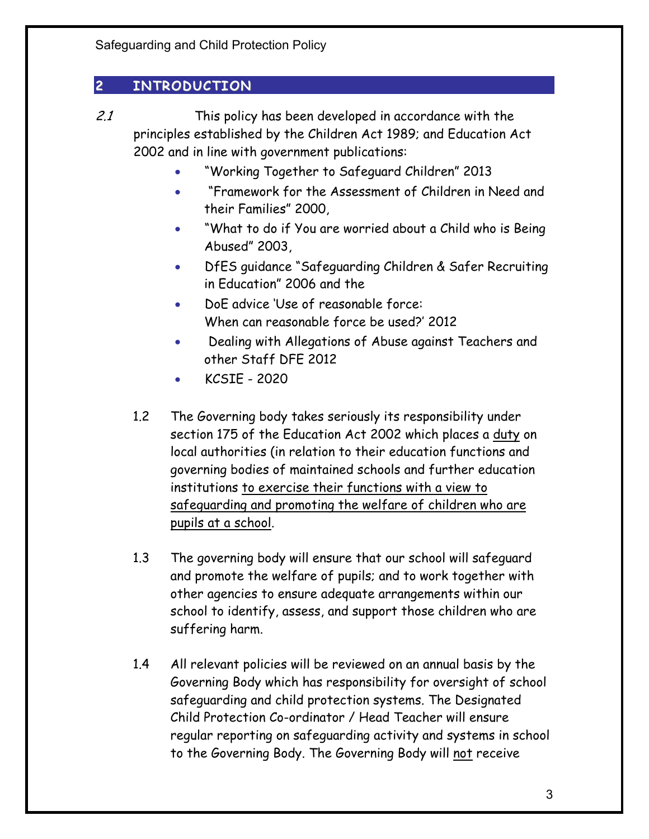# 2 INTRODUCTION

- 2.1 This policy has been developed in accordance with the principles established by the Children Act 1989; and Education Act 2002 and in line with government publications:
	- "Working Together to Safeguard Children" 2013
	- "Framework for the Assessment of Children in Need and their Families" 2000,
	- "What to do if You are worried about a Child who is Being Abused" 2003,
	- DfES guidance "Safeguarding Children & Safer Recruiting in Education" 2006 and the
	- DoE advice 'Use of reasonable force: When can reasonable force be used?' 2012
	- Dealing with Allegations of Abuse against Teachers and other Staff DFE 2012
	- KCSIE 2020
	- 1.2 The Governing body takes seriously its responsibility under section 175 of the Education Act 2002 which places a duty on local authorities (in relation to their education functions and governing bodies of maintained schools and further education institutions to exercise their functions with a view to safeguarding and promoting the welfare of children who are pupils at a school.
	- 1.3 The governing body will ensure that our school will safeguard and promote the welfare of pupils; and to work together with other agencies to ensure adequate arrangements within our school to identify, assess, and support those children who are suffering harm.
	- 1.4 All relevant policies will be reviewed on an annual basis by the Governing Body which has responsibility for oversight of school safeguarding and child protection systems. The Designated Child Protection Co-ordinator / Head Teacher will ensure regular reporting on safeguarding activity and systems in school to the Governing Body. The Governing Body will not receive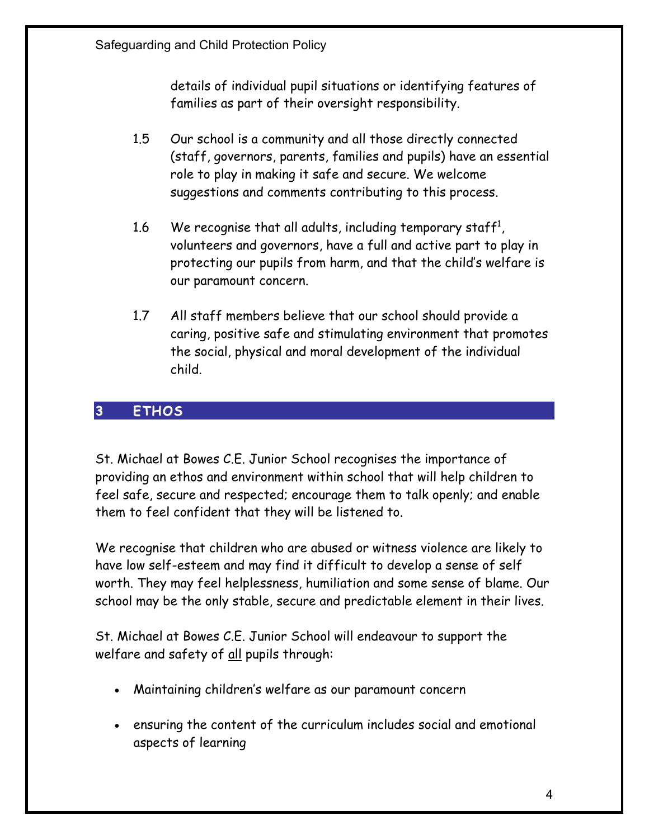details of individual pupil situations or identifying features of families as part of their oversight responsibility.

- 1.5 Our school is a community and all those directly connected (staff, governors, parents, families and pupils) have an essential role to play in making it safe and secure. We welcome suggestions and comments contributing to this process.
- 1.6 We recognise that all adults, including temporary staff<sup>1</sup>, volunteers and governors, have a full and active part to play in protecting our pupils from harm, and that the child's welfare is our paramount concern.
- 1.7 All staff members believe that our school should provide a caring, positive safe and stimulating environment that promotes the social, physical and moral development of the individual child.

## 3 ETHOS

St. Michael at Bowes C.E. Junior School recognises the importance of providing an ethos and environment within school that will help children to feel safe, secure and respected; encourage them to talk openly; and enable them to feel confident that they will be listened to.

We recognise that children who are abused or witness violence are likely to have low self-esteem and may find it difficult to develop a sense of self worth. They may feel helplessness, humiliation and some sense of blame. Our school may be the only stable, secure and predictable element in their lives.

St. Michael at Bowes C.E. Junior School will endeavour to support the welfare and safety of all pupils through:

- Maintaining children's welfare as our paramount concern
- ensuring the content of the curriculum includes social and emotional aspects of learning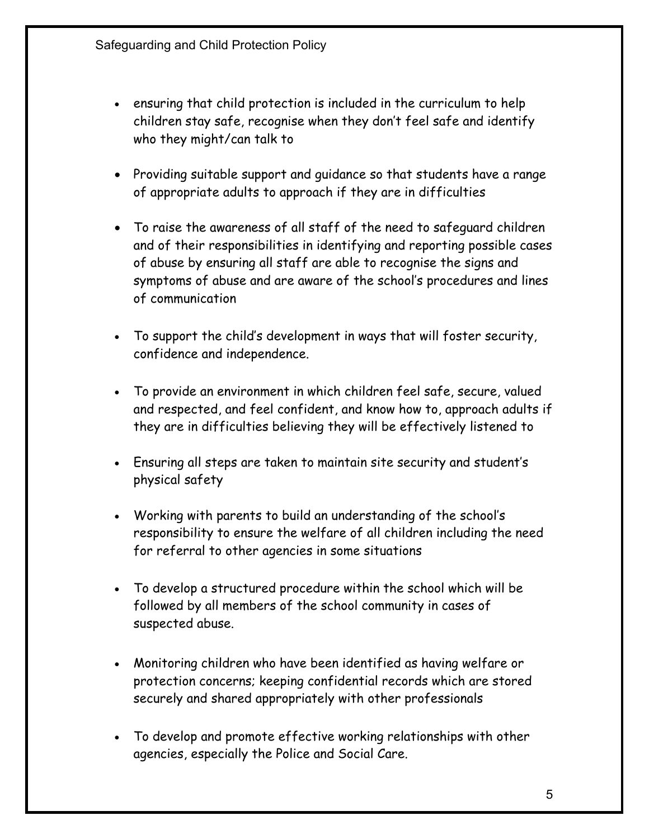- ensuring that child protection is included in the curriculum to help children stay safe, recognise when they don't feel safe and identify who they might/can talk to
- Providing suitable support and guidance so that students have a range of appropriate adults to approach if they are in difficulties
- To raise the awareness of all staff of the need to safeguard children and of their responsibilities in identifying and reporting possible cases of abuse by ensuring all staff are able to recognise the signs and symptoms of abuse and are aware of the school's procedures and lines of communication
- To support the child's development in ways that will foster security, confidence and independence.
- To provide an environment in which children feel safe, secure, valued and respected, and feel confident, and know how to, approach adults if they are in difficulties believing they will be effectively listened to
- Ensuring all steps are taken to maintain site security and student's physical safety
- Working with parents to build an understanding of the school's responsibility to ensure the welfare of all children including the need for referral to other agencies in some situations
- To develop a structured procedure within the school which will be followed by all members of the school community in cases of suspected abuse.
- Monitoring children who have been identified as having welfare or protection concerns; keeping confidential records which are stored securely and shared appropriately with other professionals
- To develop and promote effective working relationships with other agencies, especially the Police and Social Care.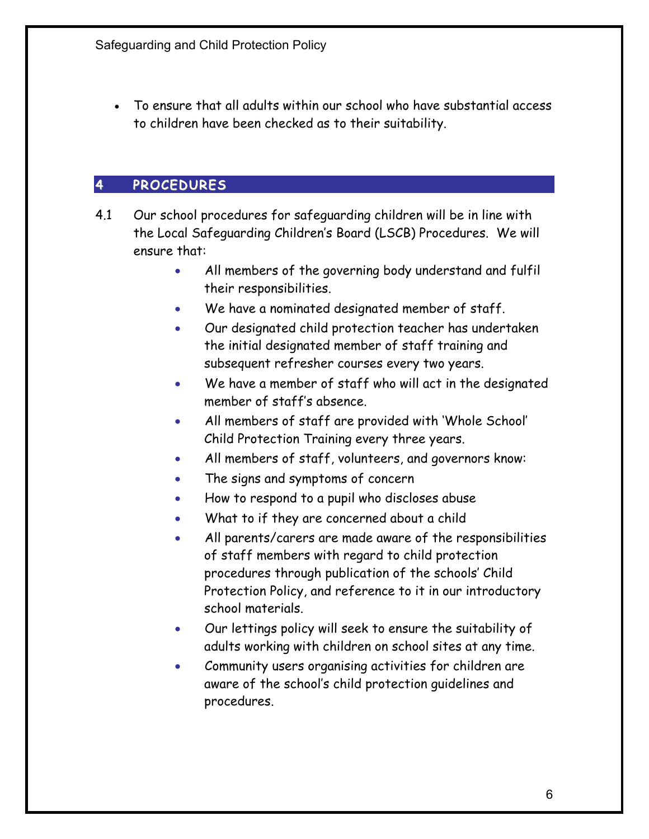• To ensure that all adults within our school who have substantial access to children have been checked as to their suitability.

# 4 PROCEDURES

- 4.1 Our school procedures for safeguarding children will be in line with the Local Safeguarding Children's Board (LSCB) Procedures. We will ensure that:
	- All members of the governing body understand and fulfil their responsibilities.
	- We have a nominated designated member of staff.
	- Our designated child protection teacher has undertaken the initial designated member of staff training and subsequent refresher courses every two years.
	- We have a member of staff who will act in the designated member of staff's absence.
	- All members of staff are provided with 'Whole School' Child Protection Training every three years.
	- All members of staff, volunteers, and governors know:
	- The signs and symptoms of concern
	- How to respond to a pupil who discloses abuse
	- What to if they are concerned about a child
	- All parents/carers are made aware of the responsibilities of staff members with regard to child protection procedures through publication of the schools' Child Protection Policy, and reference to it in our introductory school materials.
	- Our lettings policy will seek to ensure the suitability of adults working with children on school sites at any time.
	- Community users organising activities for children are aware of the school's child protection guidelines and procedures.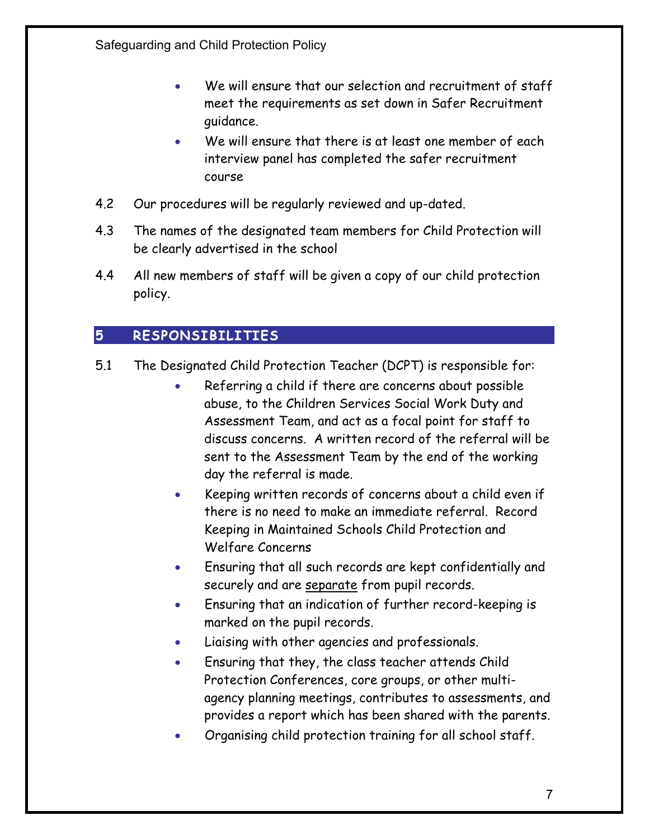- We will ensure that our selection and recruitment of staff meet the requirements as set down in Safer Recruitment guidance.
- We will ensure that there is at least one member of each interview panel has completed the safer recruitment course
- 4.2 Our procedures will be regularly reviewed and up-dated.
- 4.3 The names of the designated team members for Child Protection will be clearly advertised in the school
- 4.4 All new members of staff will be given a copy of our child protection policy.

# 5 RESPONSIBILITIES

- 5.1 The Designated Child Protection Teacher (DCPT) is responsible for:
	- Referring a child if there are concerns about possible abuse, to the Children Services Social Work Duty and Assessment Team, and act as a focal point for staff to discuss concerns. A written record of the referral will be sent to the Assessment Team by the end of the working day the referral is made.
	- Keeping written records of concerns about a child even if there is no need to make an immediate referral. Record Keeping in Maintained Schools Child Protection and Welfare Concerns
	- Ensuring that all such records are kept confidentially and securely and are separate from pupil records.
	- Ensuring that an indication of further record-keeping is marked on the pupil records.
	- Liaising with other agencies and professionals.
	- Ensuring that they, the class teacher attends Child Protection Conferences, core groups, or other multiagency planning meetings, contributes to assessments, and provides a report which has been shared with the parents.
	- Organising child protection training for all school staff.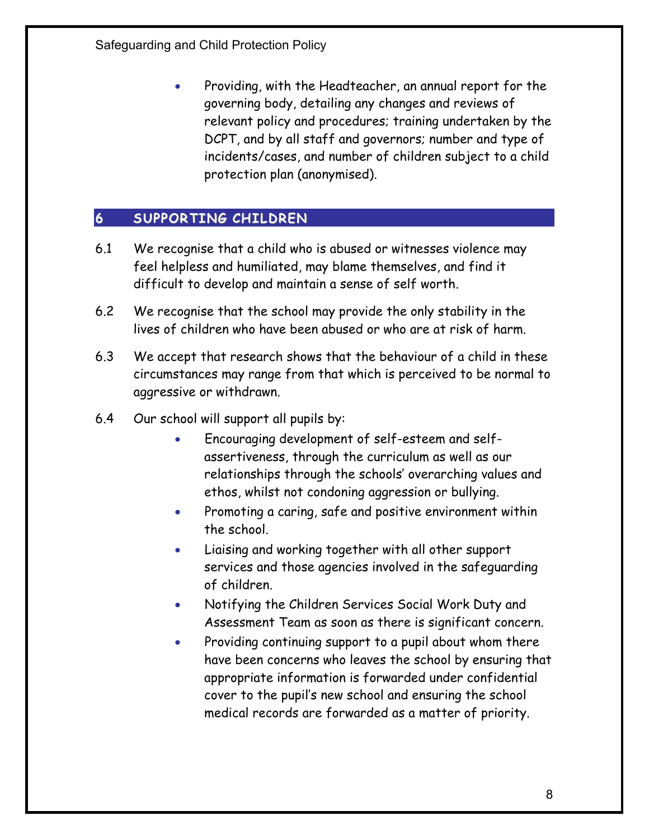• Providing, with the Headteacher, an annual report for the governing body, detailing any changes and reviews of relevant policy and procedures; training undertaken by the DCPT, and by all staff and governors; number and type of incidents/cases, and number of children subject to a child protection plan (anonymised).

## 6 SUPPORTING CHILDREN

- 6.1 We recognise that a child who is abused or witnesses violence may feel helpless and humiliated, may blame themselves, and find it difficult to develop and maintain a sense of self worth.
- 6.2 We recognise that the school may provide the only stability in the lives of children who have been abused or who are at risk of harm.
- 6.3 We accept that research shows that the behaviour of a child in these circumstances may range from that which is perceived to be normal to aggressive or withdrawn.
- 6.4 Our school will support all pupils by:
	- Encouraging development of self-esteem and selfassertiveness, through the curriculum as well as our relationships through the schools' overarching values and ethos, whilst not condoning aggression or bullying.
	- Promoting a caring, safe and positive environment within the school.
	- Liaising and working together with all other support services and those agencies involved in the safeguarding of children.
	- Notifying the Children Services Social Work Duty and Assessment Team as soon as there is significant concern.
	- Providing continuing support to a pupil about whom there have been concerns who leaves the school by ensuring that appropriate information is forwarded under confidential cover to the pupil's new school and ensuring the school medical records are forwarded as a matter of priority.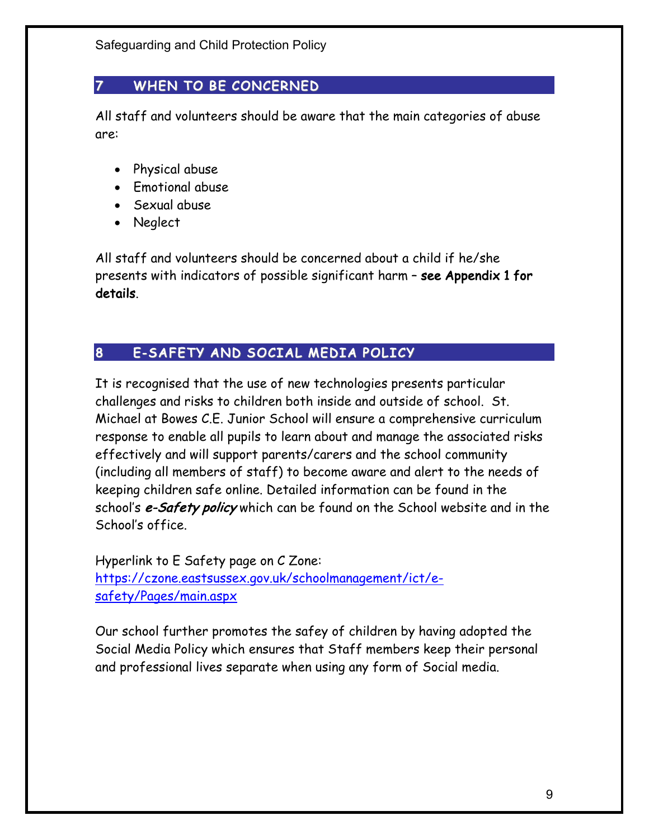# 7 WHEN TO BE CONCERNED

All staff and volunteers should be aware that the main categories of abuse are:

- Physical abuse
- Emotional abuse
- Sexual abuse
- Neglect

All staff and volunteers should be concerned about a child if he/she presents with indicators of possible significant harm – see Appendix 1 for details.

# 8 E-SAFETY AND SOCIAL MEDIA POLICY

It is recognised that the use of new technologies presents particular challenges and risks to children both inside and outside of school. St. Michael at Bowes C.E. Junior School will ensure a comprehensive curriculum response to enable all pupils to learn about and manage the associated risks effectively and will support parents/carers and the school community (including all members of staff) to become aware and alert to the needs of keeping children safe online. Detailed information can be found in the school's e-Safety policy which can be found on the School website and in the School's office.

Hyperlink to E Safety page on C Zone: https://czone.eastsussex.gov.uk/schoolmanagement/ict/esafety/Pages/main.aspx

Our school further promotes the safey of children by having adopted the Social Media Policy which ensures that Staff members keep their personal and professional lives separate when using any form of Social media.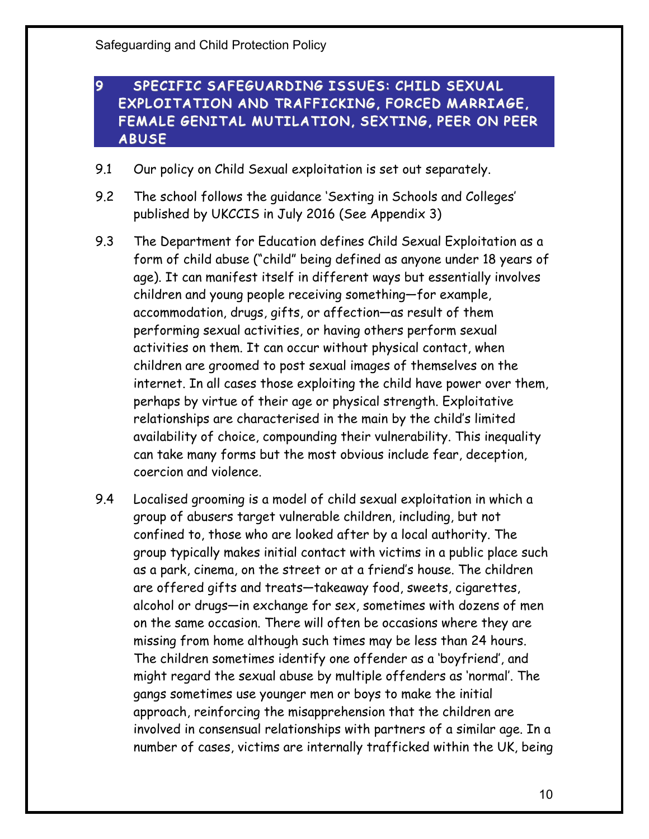## 9 SPECIFIC SAFEGUARDING ISSUES: CHILD SEXUAL EXPLOITATION AND TRAFFICKING, FORCED MARRIAGE, FEMALE GENITAL MUTILATION, SEXTING, PEER ON PEER ABUSE

- 9.1 Our policy on Child Sexual exploitation is set out separately.
- 9.2 The school follows the guidance 'Sexting in Schools and Colleges' published by UKCCIS in July 2016 (See Appendix 3)
- 9.3 The Department for Education defines Child Sexual Exploitation as a form of child abuse ("child" being defined as anyone under 18 years of age). It can manifest itself in different ways but essentially involves children and young people receiving something—for example, accommodation, drugs, gifts, or affection—as result of them performing sexual activities, or having others perform sexual activities on them. It can occur without physical contact, when children are groomed to post sexual images of themselves on the internet. In all cases those exploiting the child have power over them, perhaps by virtue of their age or physical strength. Exploitative relationships are characterised in the main by the child's limited availability of choice, compounding their vulnerability. This inequality can take many forms but the most obvious include fear, deception, coercion and violence.
- 9.4 Localised grooming is a model of child sexual exploitation in which a group of abusers target vulnerable children, including, but not confined to, those who are looked after by a local authority. The group typically makes initial contact with victims in a public place such as a park, cinema, on the street or at a friend's house. The children are offered gifts and treats—takeaway food, sweets, cigarettes, alcohol or drugs—in exchange for sex, sometimes with dozens of men on the same occasion. There will often be occasions where they are missing from home although such times may be less than 24 hours. The children sometimes identify one offender as a 'boyfriend', and might regard the sexual abuse by multiple offenders as 'normal'. The gangs sometimes use younger men or boys to make the initial approach, reinforcing the misapprehension that the children are involved in consensual relationships with partners of a similar age. In a number of cases, victims are internally trafficked within the UK, being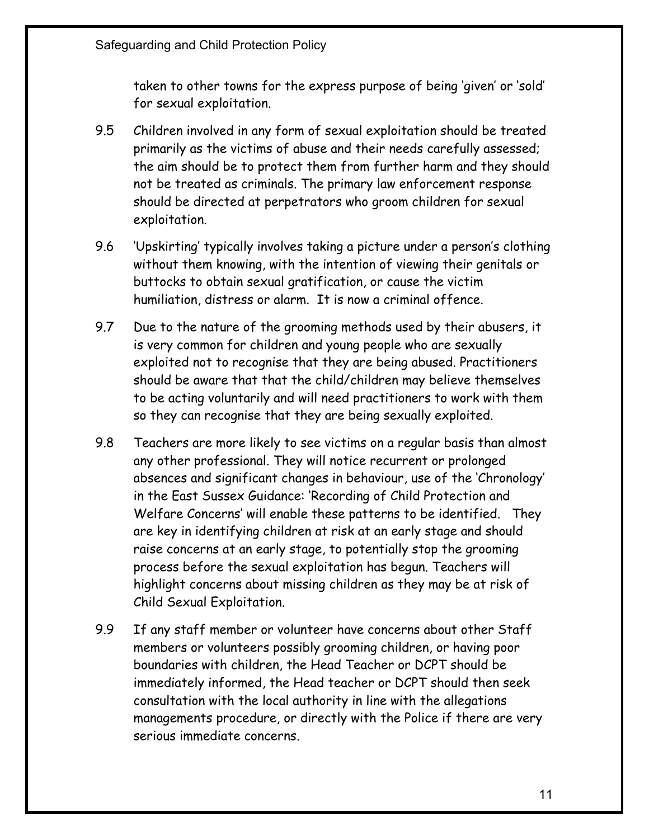taken to other towns for the express purpose of being 'given' or 'sold' for sexual exploitation.

- 9.5 Children involved in any form of sexual exploitation should be treated primarily as the victims of abuse and their needs carefully assessed; the aim should be to protect them from further harm and they should not be treated as criminals. The primary law enforcement response should be directed at perpetrators who groom children for sexual exploitation.
- 9.6 'Upskirting' typically involves taking a picture under a person's clothing without them knowing, with the intention of viewing their genitals or buttocks to obtain sexual gratification, or cause the victim humiliation, distress or alarm. It is now a criminal offence.
- 9.7 Due to the nature of the grooming methods used by their abusers, it is very common for children and young people who are sexually exploited not to recognise that they are being abused. Practitioners should be aware that that the child/children may believe themselves to be acting voluntarily and will need practitioners to work with them so they can recognise that they are being sexually exploited.
- 9.8 Teachers are more likely to see victims on a regular basis than almost any other professional. They will notice recurrent or prolonged absences and significant changes in behaviour, use of the 'Chronology' in the East Sussex Guidance: 'Recording of Child Protection and Welfare Concerns' will enable these patterns to be identified. They are key in identifying children at risk at an early stage and should raise concerns at an early stage, to potentially stop the grooming process before the sexual exploitation has begun. Teachers will highlight concerns about missing children as they may be at risk of Child Sexual Exploitation.
- 9.9 If any staff member or volunteer have concerns about other Staff members or volunteers possibly grooming children, or having poor boundaries with children, the Head Teacher or DCPT should be immediately informed, the Head teacher or DCPT should then seek consultation with the local authority in line with the allegations managements procedure, or directly with the Police if there are very serious immediate concerns.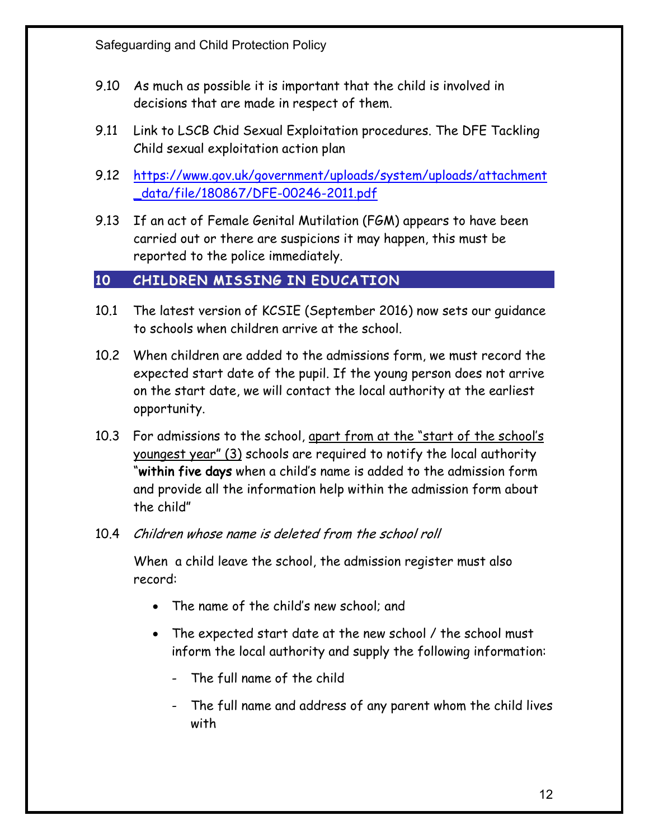- 9.10 As much as possible it is important that the child is involved in decisions that are made in respect of them.
- 9.11 Link to LSCB Chid Sexual Exploitation procedures. The DFE Tackling Child sexual exploitation action plan
- 9.12 https://www.gov.uk/government/uploads/system/uploads/attachment \_data/file/180867/DFE-00246-2011.pdf
- 9.13 If an act of Female Genital Mutilation (FGM) appears to have been carried out or there are suspicions it may happen, this must be reported to the police immediately.

## 10 CHILDREN MISSING IN EDUCATION

- 10.1 The latest version of KCSIE (September 2016) now sets our guidance to schools when children arrive at the school.
- 10.2 When children are added to the admissions form, we must record the expected start date of the pupil. If the young person does not arrive on the start date, we will contact the local authority at the earliest opportunity.
- 10.3 For admissions to the school, apart from at the "start of the school's youngest year" (3) schools are required to notify the local authority "within five days when a child's name is added to the admission form and provide all the information help within the admission form about the child"
- 10.4 Children whose name is deleted from the school roll

When a child leave the school, the admission register must also record:

- The name of the child's new school; and
- The expected start date at the new school / the school must inform the local authority and supply the following information:
	- The full name of the child
	- The full name and address of any parent whom the child lives with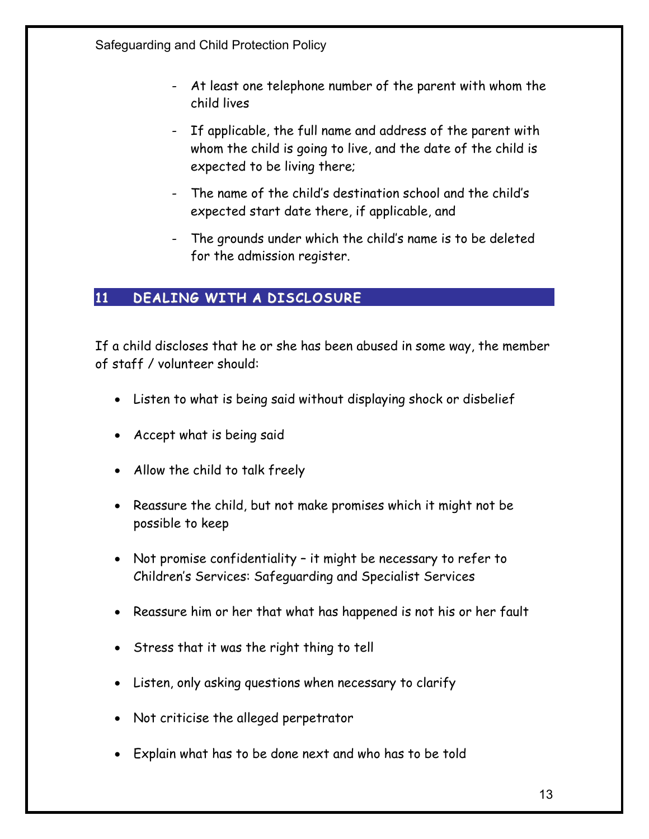- At least one telephone number of the parent with whom the child lives
- If applicable, the full name and address of the parent with whom the child is going to live, and the date of the child is expected to be living there;
- The name of the child's destination school and the child's expected start date there, if applicable, and
- The grounds under which the child's name is to be deleted for the admission register.

# 11 DEALING WITH A DISCLOSURE

If a child discloses that he or she has been abused in some way, the member of staff / volunteer should:

- Listen to what is being said without displaying shock or disbelief
- Accept what is being said
- Allow the child to talk freely
- Reassure the child, but not make promises which it might not be possible to keep
- Not promise confidentiality it might be necessary to refer to Children's Services: Safeguarding and Specialist Services
- Reassure him or her that what has happened is not his or her fault
- Stress that it was the right thing to tell
- Listen, only asking questions when necessary to clarify
- Not criticise the alleged perpetrator
- Explain what has to be done next and who has to be told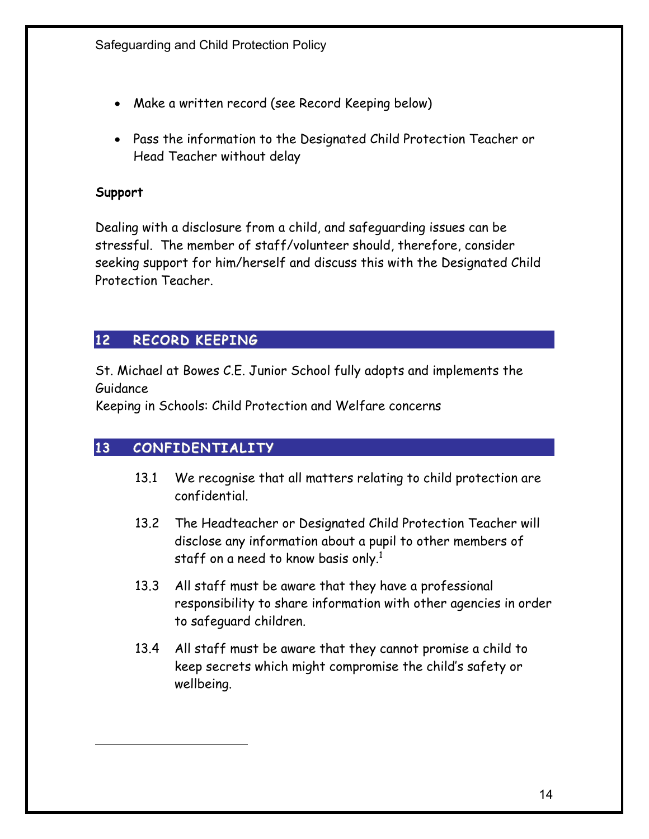- Make a written record (see Record Keeping below)
- Pass the information to the Designated Child Protection Teacher or Head Teacher without delay

#### Support

Dealing with a disclosure from a child, and safeguarding issues can be stressful. The member of staff/volunteer should, therefore, consider seeking support for him/herself and discuss this with the Designated Child Protection Teacher.

# 12 RECORD KEEPING

St. Michael at Bowes C.E. Junior School fully adopts and implements the Guidance

Keeping in Schools: Child Protection and Welfare concerns

# 13 CONFIDENTIALITY

- 13.1 We recognise that all matters relating to child protection are confidential.
- 13.2 The Headteacher or Designated Child Protection Teacher will disclose any information about a pupil to other members of staff on a need to know basis only.<sup>1</sup>
- 13.3 All staff must be aware that they have a professional responsibility to share information with other agencies in order to safeguard children.
- 13.4 All staff must be aware that they cannot promise a child to keep secrets which might compromise the child's safety or wellbeing.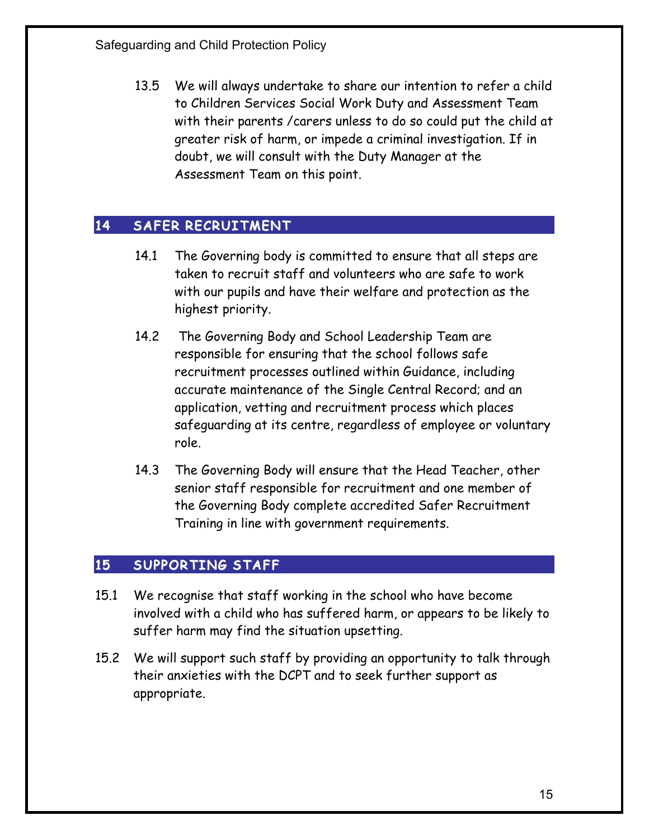13.5 We will always undertake to share our intention to refer a child to Children Services Social Work Duty and Assessment Team with their parents /carers unless to do so could put the child at greater risk of harm, or impede a criminal investigation. If in doubt, we will consult with the Duty Manager at the Assessment Team on this point.

# 14 SAFER RECRUITMENT

- 14.1 The Governing body is committed to ensure that all steps are taken to recruit staff and volunteers who are safe to work with our pupils and have their welfare and protection as the highest priority.
- 14.2 The Governing Body and School Leadership Team are responsible for ensuring that the school follows safe recruitment processes outlined within Guidance, including accurate maintenance of the Single Central Record; and an application, vetting and recruitment process which places safeguarding at its centre, regardless of employee or voluntary role.
- 14.3 The Governing Body will ensure that the Head Teacher, other senior staff responsible for recruitment and one member of the Governing Body complete accredited Safer Recruitment Training in line with government requirements.

## 15 SUPPORTING STAFF

- 15.1 We recognise that staff working in the school who have become involved with a child who has suffered harm, or appears to be likely to suffer harm may find the situation upsetting.
- 15.2 We will support such staff by providing an opportunity to talk through their anxieties with the DCPT and to seek further support as appropriate.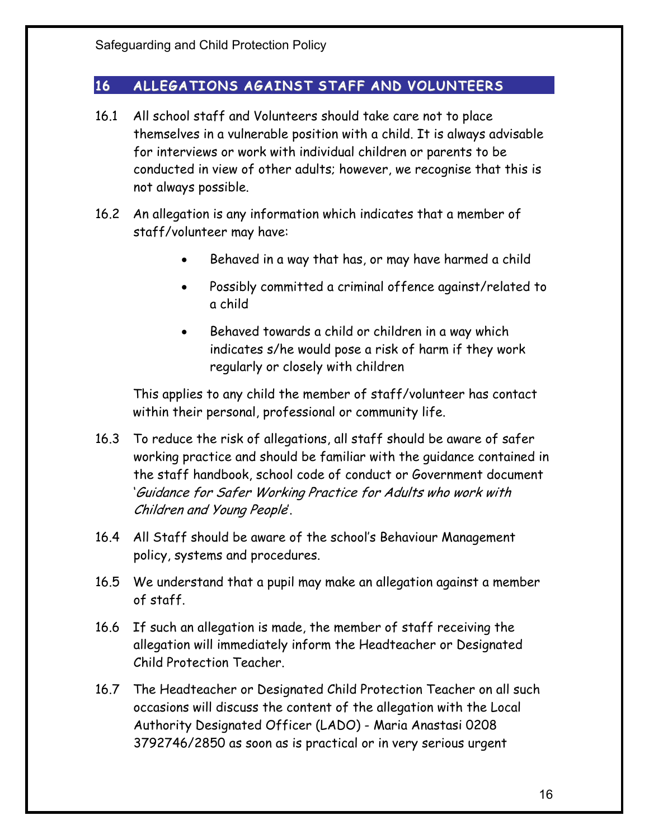# 16 ALLEGATIONS AGAINST STAFF AND VOLUNTEERS

- 16.1 All school staff and Volunteers should take care not to place themselves in a vulnerable position with a child. It is always advisable for interviews or work with individual children or parents to be conducted in view of other adults; however, we recognise that this is not always possible.
- 16.2 An allegation is any information which indicates that a member of staff/volunteer may have:
	- Behaved in a way that has, or may have harmed a child
	- Possibly committed a criminal offence against/related to a child
	- Behaved towards a child or children in a way which indicates s/he would pose a risk of harm if they work regularly or closely with children

This applies to any child the member of staff/volunteer has contact within their personal, professional or community life.

- 16.3 To reduce the risk of allegations, all staff should be aware of safer working practice and should be familiar with the guidance contained in the staff handbook, school code of conduct or Government document 'Guidance for Safer Working Practice for Adults who work with Children and Young People'.
- 16.4 All Staff should be aware of the school's Behaviour Management policy, systems and procedures.
- 16.5 We understand that a pupil may make an allegation against a member of staff.
- 16.6 If such an allegation is made, the member of staff receiving the allegation will immediately inform the Headteacher or Designated Child Protection Teacher.
- 16.7 The Headteacher or Designated Child Protection Teacher on all such occasions will discuss the content of the allegation with the Local Authority Designated Officer (LADO) - Maria Anastasi 0208 3792746/2850 as soon as is practical or in very serious urgent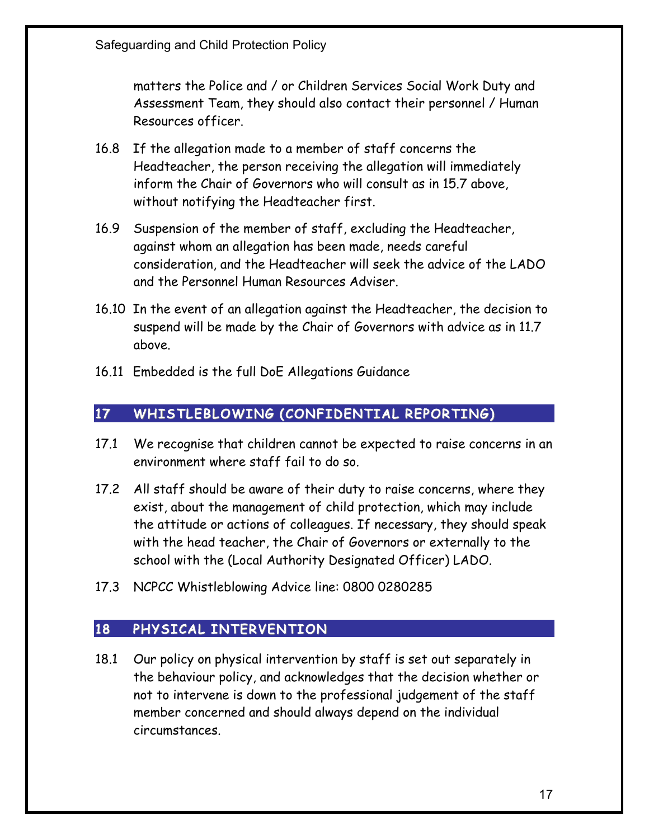matters the Police and / or Children Services Social Work Duty and Assessment Team, they should also contact their personnel / Human Resources officer.

- 16.8 If the allegation made to a member of staff concerns the Headteacher, the person receiving the allegation will immediately inform the Chair of Governors who will consult as in 15.7 above, without notifying the Headteacher first.
- 16.9 Suspension of the member of staff, excluding the Headteacher, against whom an allegation has been made, needs careful consideration, and the Headteacher will seek the advice of the LADO and the Personnel Human Resources Adviser.
- 16.10 In the event of an allegation against the Headteacher, the decision to suspend will be made by the Chair of Governors with advice as in 11.7 above.
- 16.11 Embedded is the full DoE Allegations Guidance

## 17 WHISTLEBLOWING (CONFIDENTIAL REPORTING)

- 17.1 We recognise that children cannot be expected to raise concerns in an environment where staff fail to do so.
- 17.2 All staff should be aware of their duty to raise concerns, where they exist, about the management of child protection, which may include the attitude or actions of colleagues. If necessary, they should speak with the head teacher, the Chair of Governors or externally to the school with the (Local Authority Designated Officer) LADO.
- 17.3 NCPCC Whistleblowing Advice line: 0800 0280285

# 18 PHYSICAL INTERVENTION

18.1 Our policy on physical intervention by staff is set out separately in the behaviour policy, and acknowledges that the decision whether or not to intervene is down to the professional judgement of the staff member concerned and should always depend on the individual circumstances.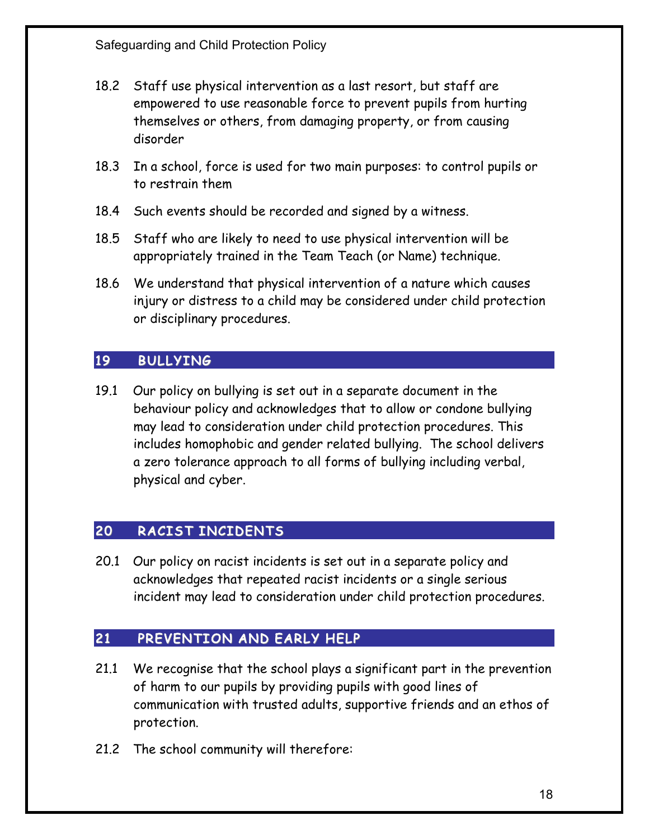- 18.2 Staff use physical intervention as a last resort, but staff are empowered to use reasonable force to prevent pupils from hurting themselves or others, from damaging property, or from causing disorder
- 18.3 In a school, force is used for two main purposes: to control pupils or to restrain them
- 18.4 Such events should be recorded and signed by a witness.
- 18.5 Staff who are likely to need to use physical intervention will be appropriately trained in the Team Teach (or Name) technique.
- 18.6 We understand that physical intervention of a nature which causes injury or distress to a child may be considered under child protection or disciplinary procedures.

# 19 BULLYING

19.1 Our policy on bullying is set out in a separate document in the behaviour policy and acknowledges that to allow or condone bullying may lead to consideration under child protection procedures. This includes homophobic and gender related bullying. The school delivers a zero tolerance approach to all forms of bullying including verbal, physical and cyber.

# 20 RACIST INCIDENTS

20.1 Our policy on racist incidents is set out in a separate policy and acknowledges that repeated racist incidents or a single serious incident may lead to consideration under child protection procedures.

# 21 PREVENTION AND EARLY HELP

- 21.1 We recognise that the school plays a significant part in the prevention of harm to our pupils by providing pupils with good lines of communication with trusted adults, supportive friends and an ethos of protection.
- 21.2 The school community will therefore: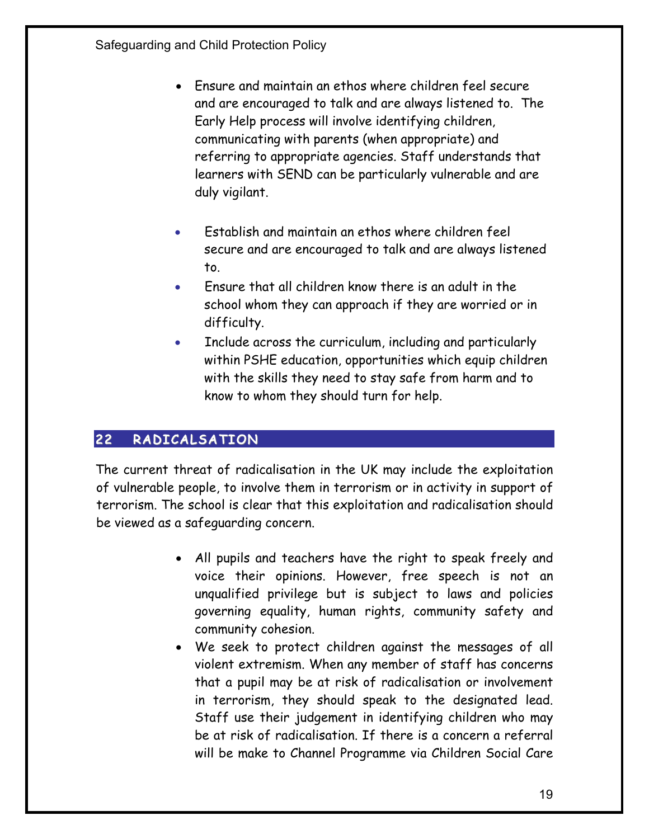- Ensure and maintain an ethos where children feel secure and are encouraged to talk and are always listened to. The Early Help process will involve identifying children, communicating with parents (when appropriate) and referring to appropriate agencies. Staff understands that learners with SEND can be particularly vulnerable and are duly vigilant.
- Establish and maintain an ethos where children feel secure and are encouraged to talk and are always listened to.
- Ensure that all children know there is an adult in the school whom they can approach if they are worried or in difficulty.
- Include across the curriculum, including and particularly within PSHE education, opportunities which equip children with the skills they need to stay safe from harm and to know to whom they should turn for help.

# 22 RADICALSATION

The current threat of radicalisation in the UK may include the exploitation of vulnerable people, to involve them in terrorism or in activity in support of terrorism. The school is clear that this exploitation and radicalisation should be viewed as a safeguarding concern.

- All pupils and teachers have the right to speak freely and voice their opinions. However, free speech is not an unqualified privilege but is subject to laws and policies governing equality, human rights, community safety and community cohesion.
- We seek to protect children against the messages of all violent extremism. When any member of staff has concerns that a pupil may be at risk of radicalisation or involvement in terrorism, they should speak to the designated lead. Staff use their judgement in identifying children who may be at risk of radicalisation. If there is a concern a referral will be make to Channel Programme via Children Social Care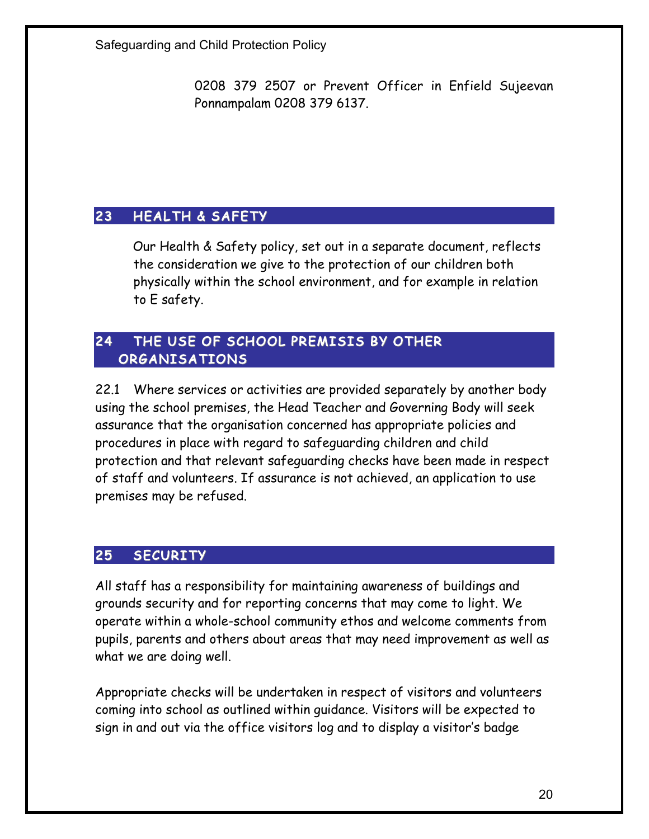0208 379 2507 or Prevent Officer in Enfield Sujeevan Ponnampalam 0208 379 6137.

# 23 HEALTH & SAFETY

Our Health & Safety policy, set out in a separate document, reflects the consideration we give to the protection of our children both physically within the school environment, and for example in relation to E safety.

## 24 THE USE OF SCHOOL PREMISIS BY OTHER ORGANISATIONS

22.1 Where services or activities are provided separately by another body using the school premises, the Head Teacher and Governing Body will seek assurance that the organisation concerned has appropriate policies and procedures in place with regard to safeguarding children and child protection and that relevant safeguarding checks have been made in respect of staff and volunteers. If assurance is not achieved, an application to use premises may be refused.

#### 25 SECURITY

All staff has a responsibility for maintaining awareness of buildings and grounds security and for reporting concerns that may come to light. We operate within a whole-school community ethos and welcome comments from pupils, parents and others about areas that may need improvement as well as what we are doing well.

Appropriate checks will be undertaken in respect of visitors and volunteers coming into school as outlined within guidance. Visitors will be expected to sign in and out via the office visitors log and to display a visitor's badge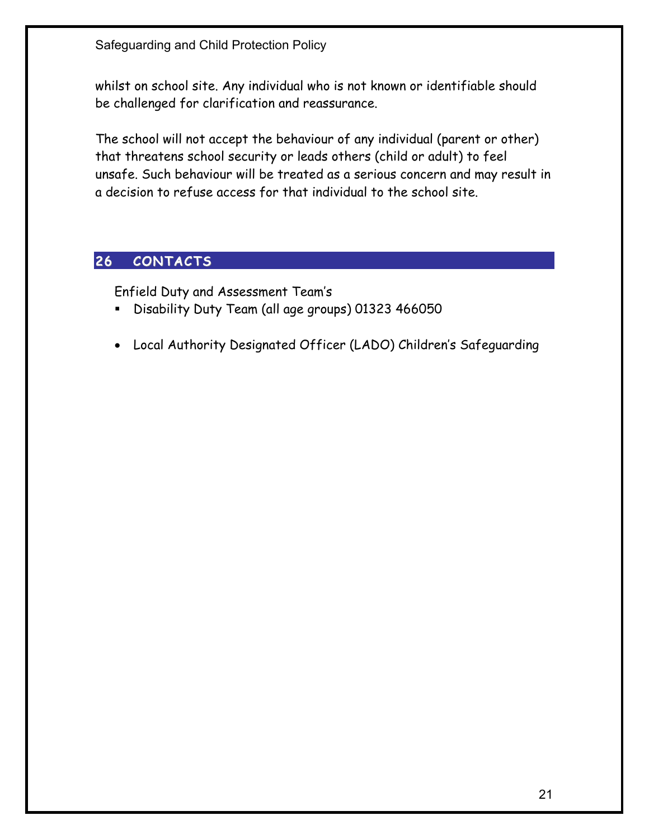whilst on school site. Any individual who is not known or identifiable should be challenged for clarification and reassurance.

The school will not accept the behaviour of any individual (parent or other) that threatens school security or leads others (child or adult) to feel unsafe. Such behaviour will be treated as a serious concern and may result in a decision to refuse access for that individual to the school site.

# 26 CONTACTS

Enfield Duty and Assessment Team's

- § Disability Duty Team (all age groups) 01323 466050
- Local Authority Designated Officer (LADO) Children's Safeguarding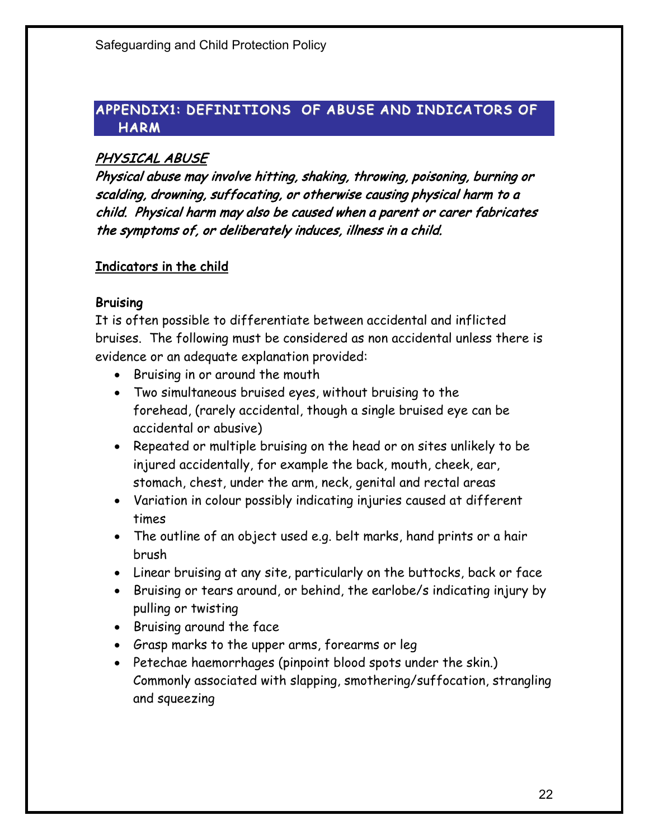## APPENDIX1: DEFINITIONS OF ABUSE AND INDICATORS OF **HARM**

## PHYSICAL ABUSE

Physical abuse may involve hitting, shaking, throwing, poisoning, burning or scalding, drowning, suffocating, or otherwise causing physical harm to a child. Physical harm may also be caused when a parent or carer fabricates the symptoms of, or deliberately induces, illness in a child.

## Indicators in the child

## **Bruising**

It is often possible to differentiate between accidental and inflicted bruises. The following must be considered as non accidental unless there is evidence or an adequate explanation provided:

- Bruising in or around the mouth
- Two simultaneous bruised eyes, without bruising to the forehead, (rarely accidental, though a single bruised eye can be accidental or abusive)
- Repeated or multiple bruising on the head or on sites unlikely to be injured accidentally, for example the back, mouth, cheek, ear, stomach, chest, under the arm, neck, genital and rectal areas
- Variation in colour possibly indicating injuries caused at different times
- The outline of an object used e.g. belt marks, hand prints or a hair brush
- Linear bruising at any site, particularly on the buttocks, back or face
- Bruising or tears around, or behind, the earlobe/s indicating injury by pulling or twisting
- Bruising around the face
- Grasp marks to the upper arms, forearms or leg
- Petechae haemorrhages (pinpoint blood spots under the skin.) Commonly associated with slapping, smothering/suffocation, strangling and squeezing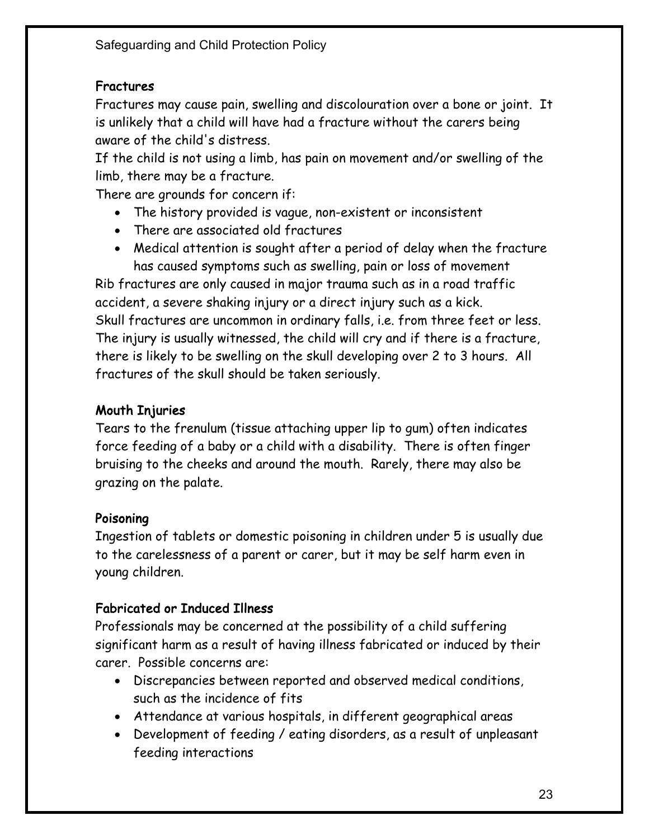# Fractures

Fractures may cause pain, swelling and discolouration over a bone or joint. It is unlikely that a child will have had a fracture without the carers being aware of the child's distress.

If the child is not using a limb, has pain on movement and/or swelling of the limb, there may be a fracture.

There are grounds for concern if:

- The history provided is vague, non-existent or inconsistent
- There are associated old fractures
- Medical attention is sought after a period of delay when the fracture has caused symptoms such as swelling, pain or loss of movement

Rib fractures are only caused in major trauma such as in a road traffic accident, a severe shaking injury or a direct injury such as a kick. Skull fractures are uncommon in ordinary falls, i.e. from three feet or less. The injury is usually witnessed, the child will cry and if there is a fracture, there is likely to be swelling on the skull developing over 2 to 3 hours. All fractures of the skull should be taken seriously.

# Mouth Injuries

Tears to the frenulum (tissue attaching upper lip to gum) often indicates force feeding of a baby or a child with a disability. There is often finger bruising to the cheeks and around the mouth. Rarely, there may also be grazing on the palate.

# Poisoning

Ingestion of tablets or domestic poisoning in children under 5 is usually due to the carelessness of a parent or carer, but it may be self harm even in young children.

# Fabricated or Induced Illness

Professionals may be concerned at the possibility of a child suffering significant harm as a result of having illness fabricated or induced by their carer. Possible concerns are:

- Discrepancies between reported and observed medical conditions, such as the incidence of fits
- Attendance at various hospitals, in different geographical areas
- Development of feeding / eating disorders, as a result of unpleasant feeding interactions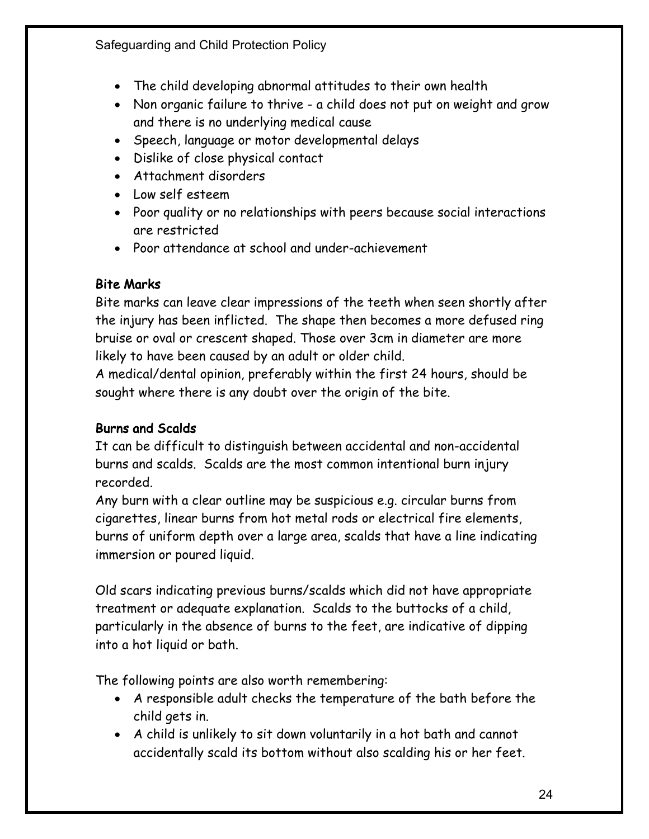- The child developing abnormal attitudes to their own health
- Non organic failure to thrive a child does not put on weight and grow and there is no underlying medical cause
- Speech, language or motor developmental delays
- Dislike of close physical contact
- Attachment disorders
- Low self esteem
- Poor quality or no relationships with peers because social interactions are restricted
- Poor attendance at school and under-achievement

# Bite Marks

Bite marks can leave clear impressions of the teeth when seen shortly after the injury has been inflicted. The shape then becomes a more defused ring bruise or oval or crescent shaped. Those over 3cm in diameter are more likely to have been caused by an adult or older child.

A medical/dental opinion, preferably within the first 24 hours, should be sought where there is any doubt over the origin of the bite.

# Burns and Scalds

It can be difficult to distinguish between accidental and non-accidental burns and scalds. Scalds are the most common intentional burn injury recorded.

Any burn with a clear outline may be suspicious e.g. circular burns from cigarettes, linear burns from hot metal rods or electrical fire elements, burns of uniform depth over a large area, scalds that have a line indicating immersion or poured liquid.

Old scars indicating previous burns/scalds which did not have appropriate treatment or adequate explanation. Scalds to the buttocks of a child, particularly in the absence of burns to the feet, are indicative of dipping into a hot liquid or bath.

The following points are also worth remembering:

- A responsible adult checks the temperature of the bath before the child gets in.
- A child is unlikely to sit down voluntarily in a hot bath and cannot accidentally scald its bottom without also scalding his or her feet.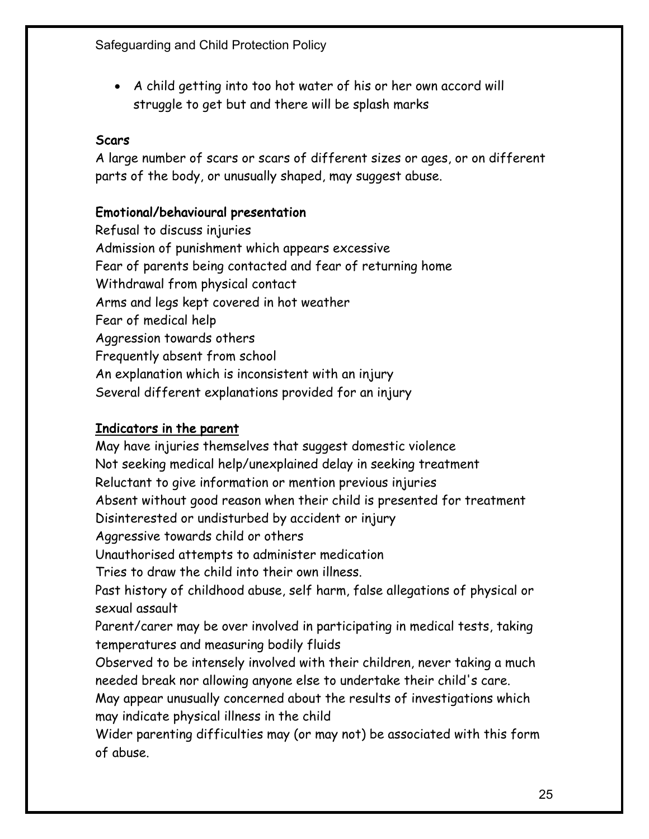• A child getting into too hot water of his or her own accord will struggle to get but and there will be splash marks

## **Scars**

A large number of scars or scars of different sizes or ages, or on different parts of the body, or unusually shaped, may suggest abuse.

## Emotional/behavioural presentation

Refusal to discuss injuries Admission of punishment which appears excessive Fear of parents being contacted and fear of returning home Withdrawal from physical contact Arms and legs kept covered in hot weather Fear of medical help Aggression towards others Frequently absent from school An explanation which is inconsistent with an injury Several different explanations provided for an injury

## Indicators in the parent

May have injuries themselves that suggest domestic violence Not seeking medical help/unexplained delay in seeking treatment Reluctant to give information or mention previous injuries Absent without good reason when their child is presented for treatment Disinterested or undisturbed by accident or injury Aggressive towards child or others Unauthorised attempts to administer medication Tries to draw the child into their own illness. Past history of childhood abuse, self harm, false allegations of physical or sexual assault Parent/carer may be over involved in participating in medical tests, taking temperatures and measuring bodily fluids Observed to be intensely involved with their children, never taking a much needed break nor allowing anyone else to undertake their child's care. May appear unusually concerned about the results of investigations which may indicate physical illness in the child Wider parenting difficulties may (or may not) be associated with this form of abuse.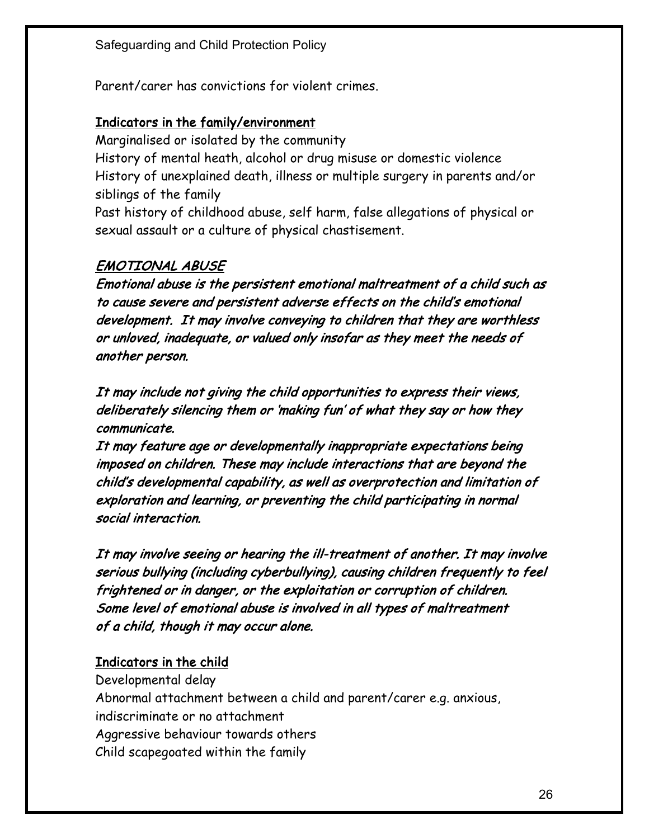Parent/carer has convictions for violent crimes.

## Indicators in the family/environment

Marginalised or isolated by the community History of mental heath, alcohol or drug misuse or domestic violence History of unexplained death, illness or multiple surgery in parents and/or siblings of the family Past history of childhood abuse, self harm, false allegations of physical or sexual assault or a culture of physical chastisement.

# EMOTIONAL ABUSE

Emotional abuse is the persistent emotional maltreatment of a child such as to cause severe and persistent adverse effects on the child's emotional development. It may involve conveying to children that they are worthless or unloved, inadequate, or valued only insofar as they meet the needs of another person.

It may include not giving the child opportunities to express their views, deliberately silencing them or 'making fun' of what they say or how they communicate.

It may feature age or developmentally inappropriate expectations being imposed on children. These may include interactions that are beyond the child's developmental capability, as well as overprotection and limitation of exploration and learning, or preventing the child participating in normal social interaction.

It may involve seeing or hearing the ill-treatment of another. It may involve serious bullying (including cyberbullying), causing children frequently to feel frightened or in danger, or the exploitation or corruption of children. Some level of emotional abuse is involved in all types of maltreatment of a child, though it may occur alone.

# Indicators in the child

Developmental delay Abnormal attachment between a child and parent/carer e.g. anxious, indiscriminate or no attachment Aggressive behaviour towards others Child scapegoated within the family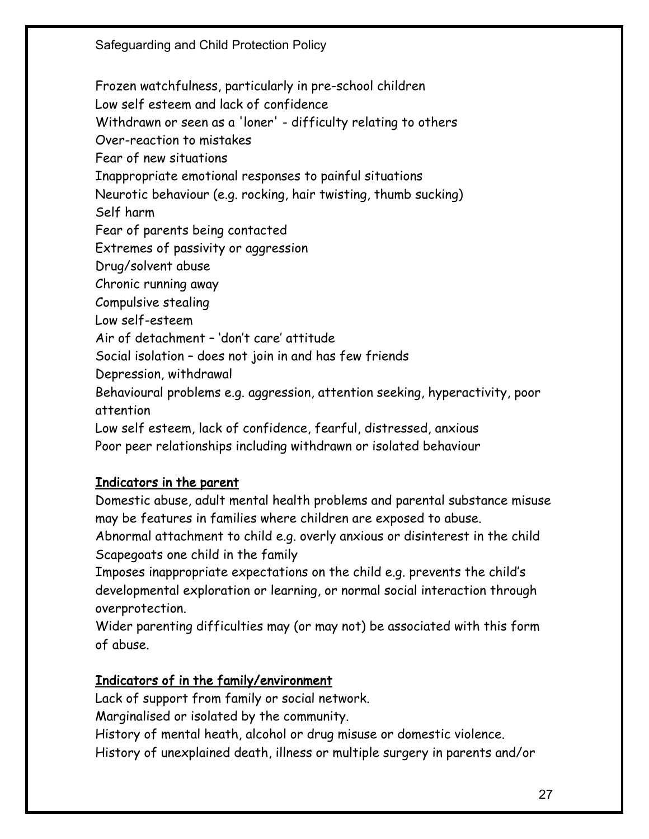Frozen watchfulness, particularly in pre-school children Low self esteem and lack of confidence Withdrawn or seen as a 'loner' - difficulty relating to others Over-reaction to mistakes Fear of new situations Inappropriate emotional responses to painful situations Neurotic behaviour (e.g. rocking, hair twisting, thumb sucking) Self harm Fear of parents being contacted Extremes of passivity or aggression Drug/solvent abuse Chronic running away Compulsive stealing Low self-esteem Air of detachment – 'don't care' attitude Social isolation – does not join in and has few friends Depression, withdrawal Behavioural problems e.g. aggression, attention seeking, hyperactivity, poor attention Low self esteem, lack of confidence, fearful, distressed, anxious Poor peer relationships including withdrawn or isolated behaviour

# Indicators in the parent

Domestic abuse, adult mental health problems and parental substance misuse may be features in families where children are exposed to abuse.

Abnormal attachment to child e.g. overly anxious or disinterest in the child Scapegoats one child in the family

Imposes inappropriate expectations on the child e.g. prevents the child's developmental exploration or learning, or normal social interaction through overprotection.

Wider parenting difficulties may (or may not) be associated with this form of abuse.

#### Indicators of in the family/environment

Lack of support from family or social network.

Marginalised or isolated by the community.

History of mental heath, alcohol or drug misuse or domestic violence.

History of unexplained death, illness or multiple surgery in parents and/or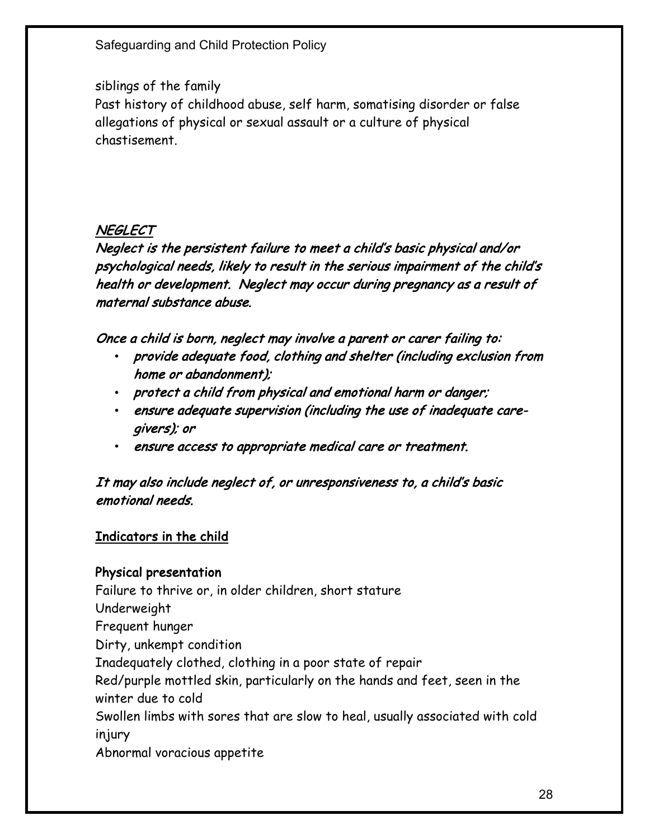## siblings of the family

Past history of childhood abuse, self harm, somatising disorder or false allegations of physical or sexual assault or a culture of physical chastisement.

## **NEGLECT**

Neglect is the persistent failure to meet a child's basic physical and/or psychological needs, likely to result in the serious impairment of the child's health or development. Neglect may occur during pregnancy as a result of maternal substance abuse.

Once a child is born, neglect may involve a parent or carer failing to:

- provide adequate food, clothing and shelter (including exclusion from home or abandonment);
- protect a child from physical and emotional harm or danger;
- ensure adequate supervision (including the use of inadequate caregivers); or
- ensure access to appropriate medical care or treatment.

## It may also include neglect of, or unresponsiveness to, a child's basic emotional needs.

## Indicators in the child

#### Physical presentation

Failure to thrive or, in older children, short stature Underweight Frequent hunger Dirty, unkempt condition Inadequately clothed, clothing in a poor state of repair Red/purple mottled skin, particularly on the hands and feet, seen in the winter due to cold Swollen limbs with sores that are slow to heal, usually associated with cold injury Abnormal voracious appetite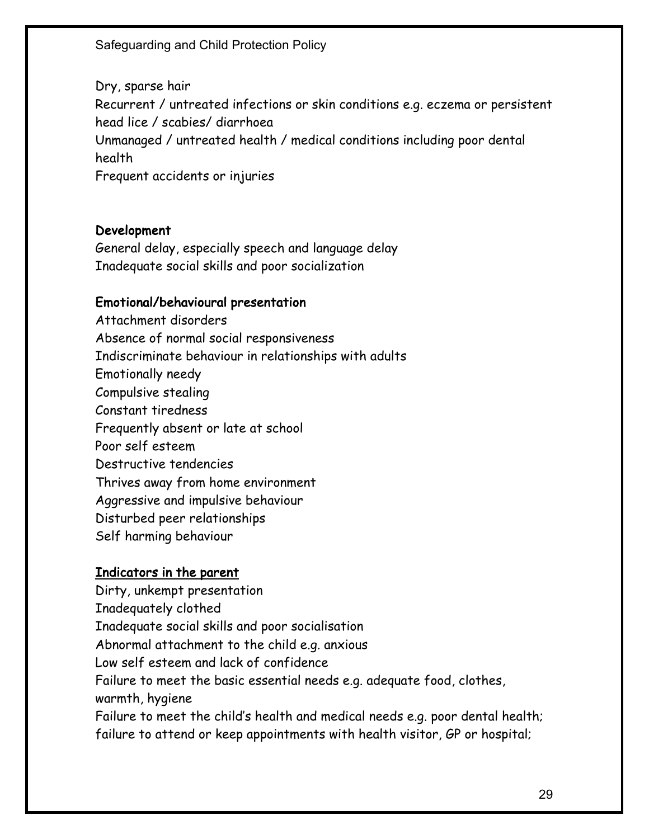Dry, sparse hair Recurrent / untreated infections or skin conditions e.g. eczema or persistent head lice / scabies/ diarrhoea Unmanaged / untreated health / medical conditions including poor dental health Frequent accidents or injuries

#### Development

General delay, especially speech and language delay Inadequate social skills and poor socialization

#### Emotional/behavioural presentation

Attachment disorders Absence of normal social responsiveness Indiscriminate behaviour in relationships with adults Emotionally needy Compulsive stealing Constant tiredness Frequently absent or late at school Poor self esteem Destructive tendencies Thrives away from home environment Aggressive and impulsive behaviour Disturbed peer relationships Self harming behaviour

#### Indicators in the parent

Dirty, unkempt presentation Inadequately clothed Inadequate social skills and poor socialisation Abnormal attachment to the child e.g. anxious Low self esteem and lack of confidence Failure to meet the basic essential needs e.g. adequate food, clothes, warmth, hygiene Failure to meet the child's health and medical needs e.g. poor dental health; failure to attend or keep appointments with health visitor, GP or hospital;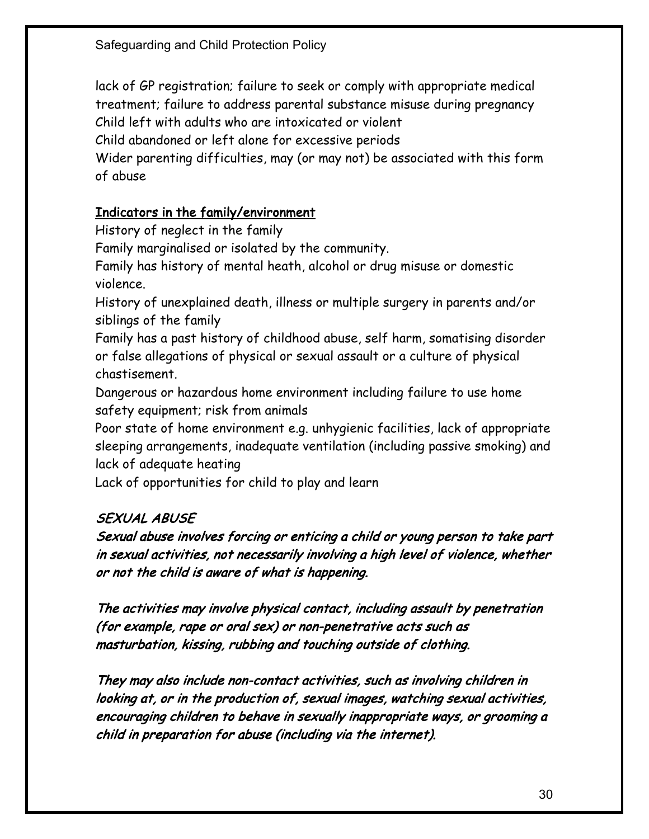lack of GP registration; failure to seek or comply with appropriate medical treatment; failure to address parental substance misuse during pregnancy Child left with adults who are intoxicated or violent Child abandoned or left alone for excessive periods

Wider parenting difficulties, may (or may not) be associated with this form of abuse

## Indicators in the family/environment

History of neglect in the family

Family marginalised or isolated by the community.

Family has history of mental heath, alcohol or drug misuse or domestic violence.

History of unexplained death, illness or multiple surgery in parents and/or siblings of the family

Family has a past history of childhood abuse, self harm, somatising disorder or false allegations of physical or sexual assault or a culture of physical chastisement.

Dangerous or hazardous home environment including failure to use home safety equipment; risk from animals

Poor state of home environment e.g. unhygienic facilities, lack of appropriate sleeping arrangements, inadequate ventilation (including passive smoking) and lack of adequate heating

Lack of opportunities for child to play and learn

# SEXUAL ABUSE

Sexual abuse involves forcing or enticing a child or young person to take part in sexual activities, not necessarily involving a high level of violence, whether or not the child is aware of what is happening.

The activities may involve physical contact, including assault by penetration (for example, rape or oral sex) or non-penetrative acts such as masturbation, kissing, rubbing and touching outside of clothing.

They may also include non-contact activities, such as involving children in looking at, or in the production of, sexual images, watching sexual activities, encouraging children to behave in sexually inappropriate ways, or grooming a child in preparation for abuse (including via the internet).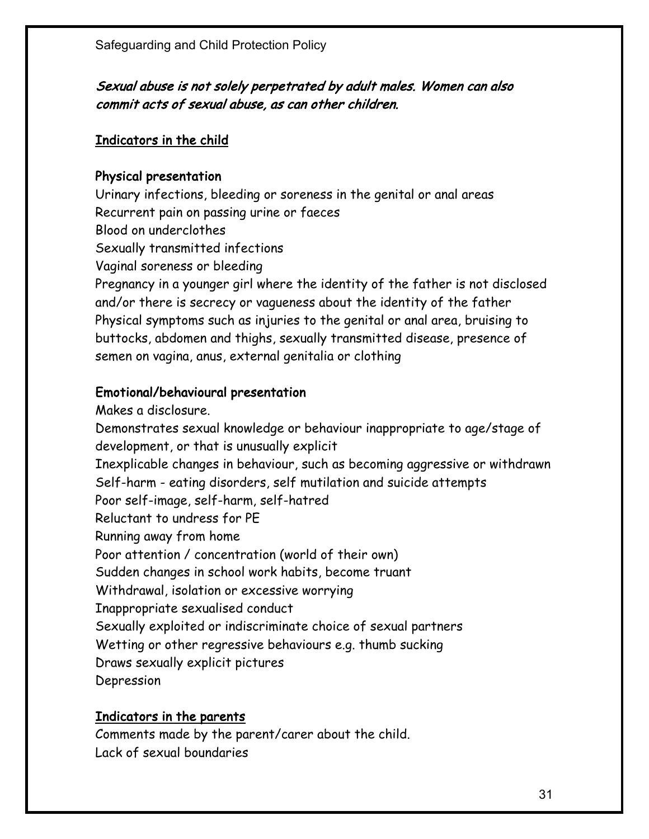## Sexual abuse is not solely perpetrated by adult males. Women can also commit acts of sexual abuse, as can other children.

#### Indicators in the child

#### Physical presentation

Urinary infections, bleeding or soreness in the genital or anal areas Recurrent pain on passing urine or faeces Blood on underclothes Sexually transmitted infections Vaginal soreness or bleeding Pregnancy in a younger girl where the identity of the father is not disclosed and/or there is secrecy or vagueness about the identity of the father Physical symptoms such as injuries to the genital or anal area, bruising to buttocks, abdomen and thighs, sexually transmitted disease, presence of semen on vagina, anus, external genitalia or clothing

## Emotional/behavioural presentation

Makes a disclosure. Demonstrates sexual knowledge or behaviour inappropriate to age/stage of development, or that is unusually explicit Inexplicable changes in behaviour, such as becoming aggressive or withdrawn Self-harm - eating disorders, self mutilation and suicide attempts Poor self-image, self-harm, self-hatred Reluctant to undress for PE Running away from home Poor attention / concentration (world of their own) Sudden changes in school work habits, become truant Withdrawal, isolation or excessive worrying Inappropriate sexualised conduct Sexually exploited or indiscriminate choice of sexual partners Wetting or other regressive behaviours e.g. thumb sucking Draws sexually explicit pictures Depression

#### Indicators in the parents

Comments made by the parent/carer about the child. Lack of sexual boundaries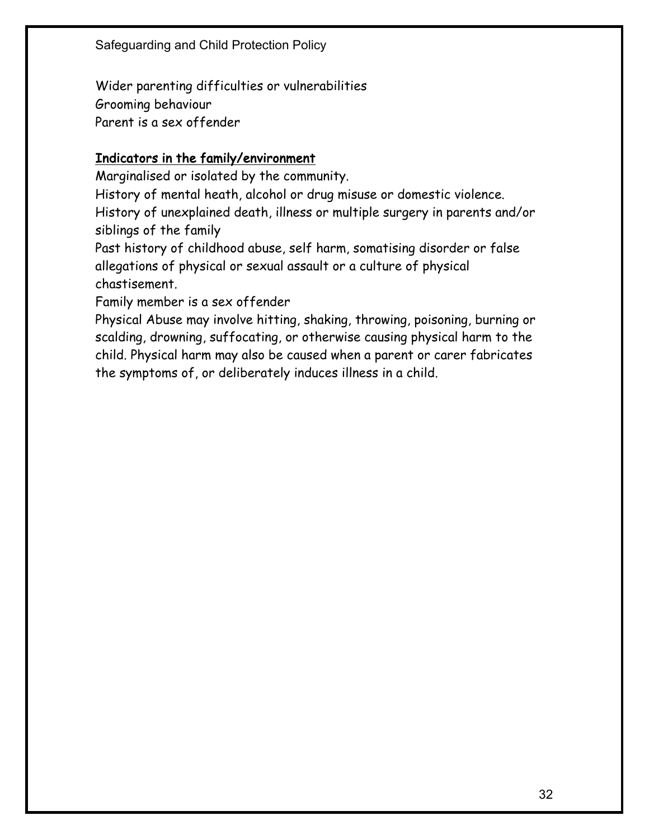Wider parenting difficulties or vulnerabilities Grooming behaviour Parent is a sex offender

## Indicators in the family/environment

Marginalised or isolated by the community.

History of mental heath, alcohol or drug misuse or domestic violence.

History of unexplained death, illness or multiple surgery in parents and/or siblings of the family

Past history of childhood abuse, self harm, somatising disorder or false allegations of physical or sexual assault or a culture of physical chastisement.

Family member is a sex offender

Physical Abuse may involve hitting, shaking, throwing, poisoning, burning or scalding, drowning, suffocating, or otherwise causing physical harm to the child. Physical harm may also be caused when a parent or carer fabricates the symptoms of, or deliberately induces illness in a child.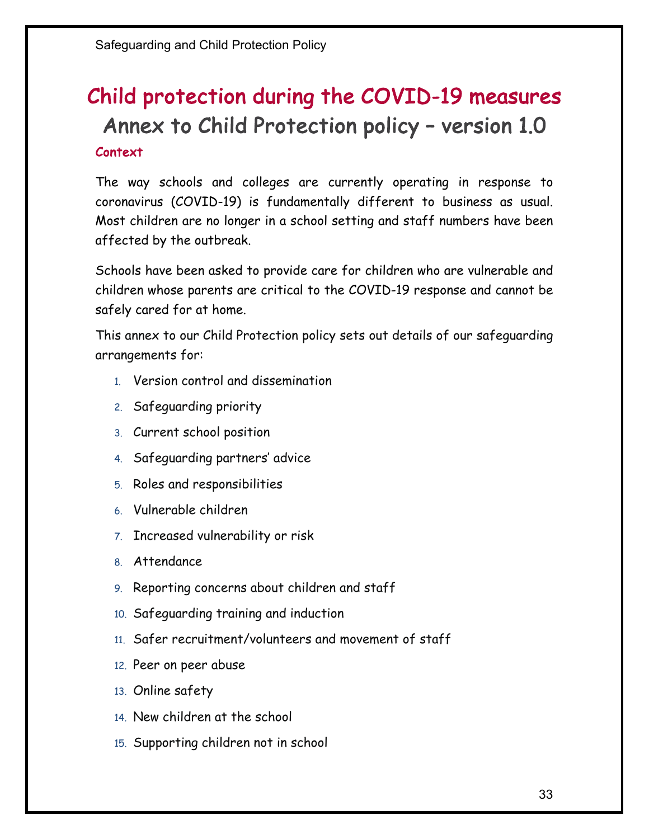# Context Child protection during the COVID-19 measures Annex to Child Protection policy – version 1.0

The way schools and colleges are currently operating in response to coronavirus (COVID-19) is fundamentally different to business as usual. Most children are no longer in a school setting and staff numbers have been affected by the outbreak.

Schools have been asked to provide care for children who are vulnerable and children whose parents are critical to the COVID-19 response and cannot be safely cared for at home.

This annex to our Child Protection policy sets out details of our safeguarding arrangements for:

- 1. Version control and dissemination
- 2. Safeguarding priority
- 3. Current school position
- 4. Safeguarding partners' advice
- 5. Roles and responsibilities
- 6. Vulnerable children
- 7. Increased vulnerability or risk
- 8. Attendance
- 9. Reporting concerns about children and staff
- 10. Safeguarding training and induction
- 11. Safer recruitment/volunteers and movement of staff
- 12. Peer on peer abuse
- 13. Online safety
- 14. New children at the school
- 15. Supporting children not in school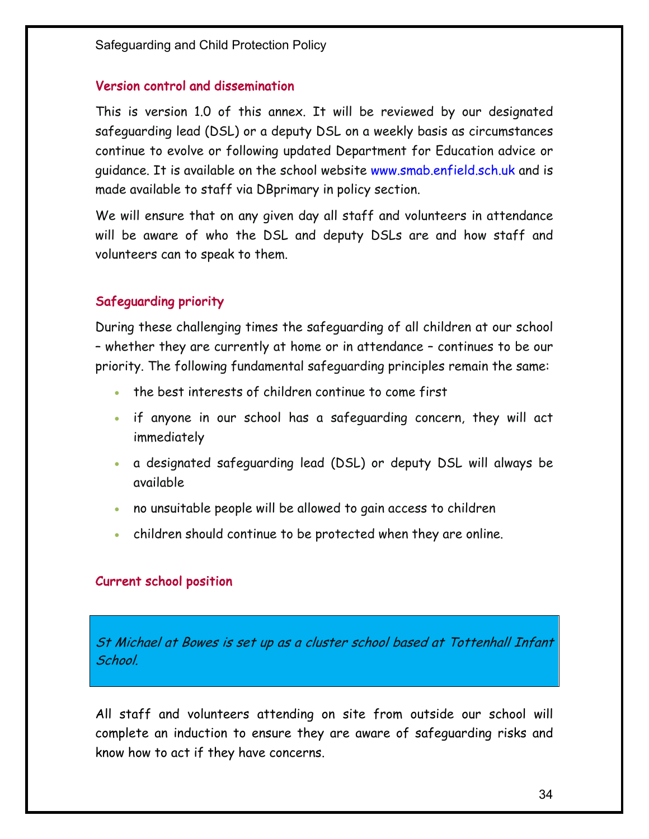#### Version control and dissemination

This is version 1.0 of this annex. It will be reviewed by our designated safeguarding lead (DSL) or a deputy DSL on a weekly basis as circumstances continue to evolve or following updated Department for Education advice or guidance. It is available on the school website www.smab.enfield.sch.uk and is made available to staff via DBprimary in policy section.

We will ensure that on any given day all staff and volunteers in attendance will be aware of who the DSL and deputy DSLs are and how staff and volunteers can to speak to them.

#### Safeguarding priority

During these challenging times the safeguarding of all children at our school – whether they are currently at home or in attendance – continues to be our priority. The following fundamental safeguarding principles remain the same:

- the best interests of children continue to come first
- if anyone in our school has a safeguarding concern, they will act immediately
- a designated safeguarding lead (DSL) or deputy DSL will always be available
- no unsuitable people will be allowed to gain access to children
- children should continue to be protected when they are online.

#### Current school position

St Michael at Bowes is set up as a cluster school based at Tottenhall Infant School.

All staff and volunteers attending on site from outside our school will complete an induction to ensure they are aware of safeguarding risks and know how to act if they have concerns.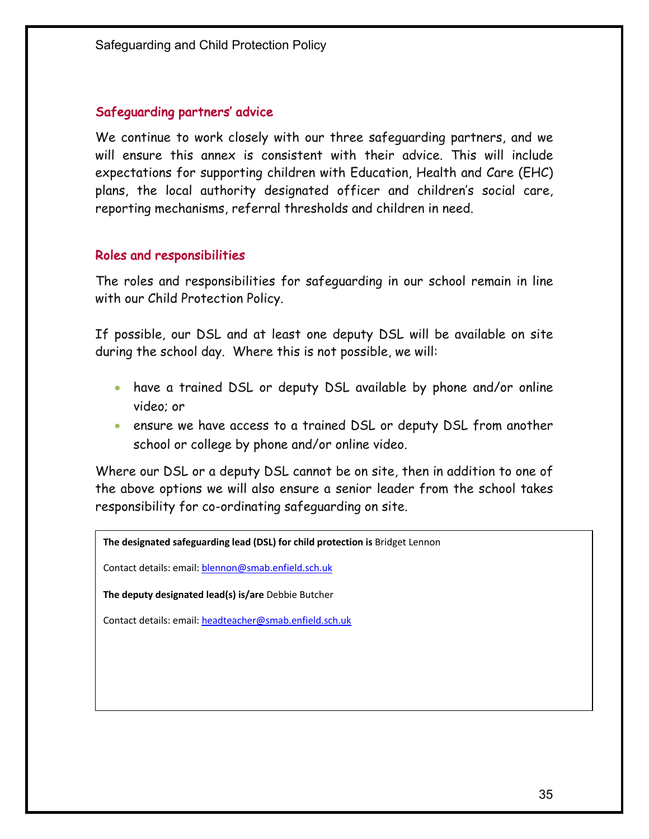#### Safeguarding partners' advice

We continue to work closely with our three safeguarding partners, and we will ensure this annex is consistent with their advice. This will include expectations for supporting children with Education, Health and Care (EHC) plans, the local authority designated officer and children's social care, reporting mechanisms, referral thresholds and children in need.

#### Roles and responsibilities

The roles and responsibilities for safeguarding in our school remain in line with our Child Protection Policy.

If possible, our DSL and at least one deputy DSL will be available on site during the school day. Where this is not possible, we will:

- have a trained DSL or deputy DSL available by phone and/or online video; or
- ensure we have access to a trained DSL or deputy DSL from another school or college by phone and/or online video.

Where our DSL or a deputy DSL cannot be on site, then in addition to one of the above options we will also ensure a senior leader from the school takes responsibility for co-ordinating safeguarding on site.

**The designated safeguarding lead (DSL) for child protection is** Bridget Lennon

Contact details: email: blennon@smab.enfield.sch.uk

**The deputy designated lead(s) is/are** Debbie Butcher

Contact details: email: headteacher@smab.enfield.sch.uk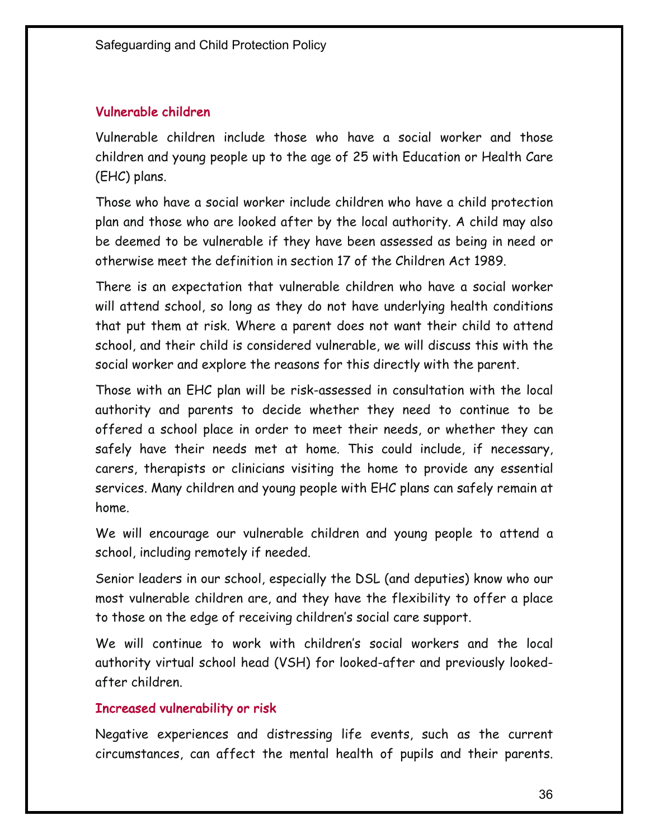#### Vulnerable children

Vulnerable children include those who have a social worker and those children and young people up to the age of 25 with Education or Health Care (EHC) plans.

Those who have a social worker include children who have a child protection plan and those who are looked after by the local authority. A child may also be deemed to be vulnerable if they have been assessed as being in need or otherwise meet the definition in section 17 of the Children Act 1989.

There is an expectation that vulnerable children who have a social worker will attend school, so long as they do not have underlying health conditions that put them at risk. Where a parent does not want their child to attend school, and their child is considered vulnerable, we will discuss this with the social worker and explore the reasons for this directly with the parent.

Those with an EHC plan will be risk-assessed in consultation with the local authority and parents to decide whether they need to continue to be offered a school place in order to meet their needs, or whether they can safely have their needs met at home. This could include, if necessary, carers, therapists or clinicians visiting the home to provide any essential services. Many children and young people with EHC plans can safely remain at home.

We will encourage our vulnerable children and young people to attend a school, including remotely if needed.

Senior leaders in our school, especially the DSL (and deputies) know who our most vulnerable children are, and they have the flexibility to offer a place to those on the edge of receiving children's social care support.

We will continue to work with children's social workers and the local authority virtual school head (VSH) for looked-after and previously lookedafter children.

#### Increased vulnerability or risk

Negative experiences and distressing life events, such as the current circumstances, can affect the mental health of pupils and their parents.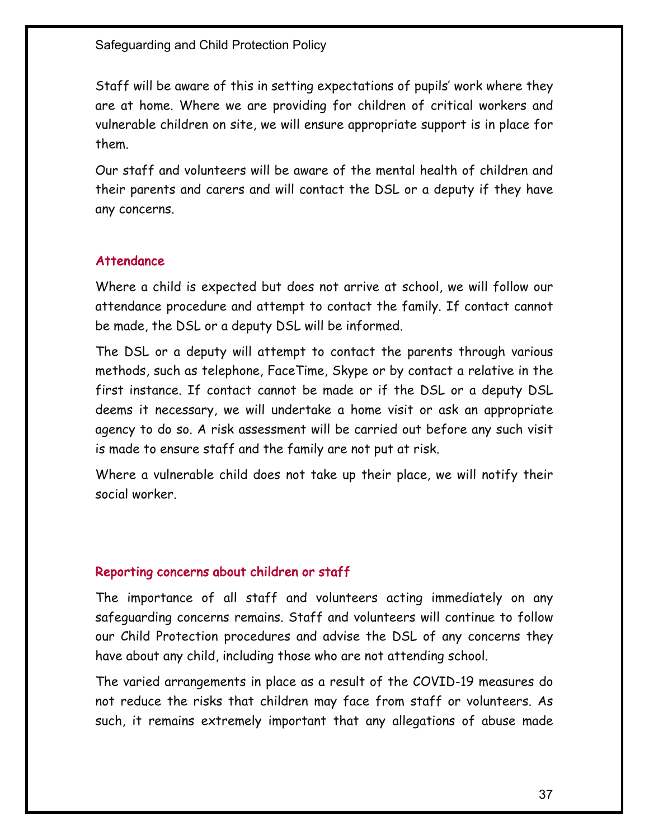Staff will be aware of this in setting expectations of pupils' work where they are at home. Where we are providing for children of critical workers and vulnerable children on site, we will ensure appropriate support is in place for them.

Our staff and volunteers will be aware of the mental health of children and their parents and carers and will contact the DSL or a deputy if they have any concerns.

## Attendance

Where a child is expected but does not arrive at school, we will follow our attendance procedure and attempt to contact the family. If contact cannot be made, the DSL or a deputy DSL will be informed.

The DSL or a deputy will attempt to contact the parents through various methods, such as telephone, FaceTime, Skype or by contact a relative in the first instance. If contact cannot be made or if the DSL or a deputy DSL deems it necessary, we will undertake a home visit or ask an appropriate agency to do so. A risk assessment will be carried out before any such visit is made to ensure staff and the family are not put at risk.

Where a vulnerable child does not take up their place, we will notify their social worker.

#### Reporting concerns about children or staff

The importance of all staff and volunteers acting immediately on any safeguarding concerns remains. Staff and volunteers will continue to follow our Child Protection procedures and advise the DSL of any concerns they have about any child, including those who are not attending school.

The varied arrangements in place as a result of the COVID-19 measures do not reduce the risks that children may face from staff or volunteers. As such, it remains extremely important that any allegations of abuse made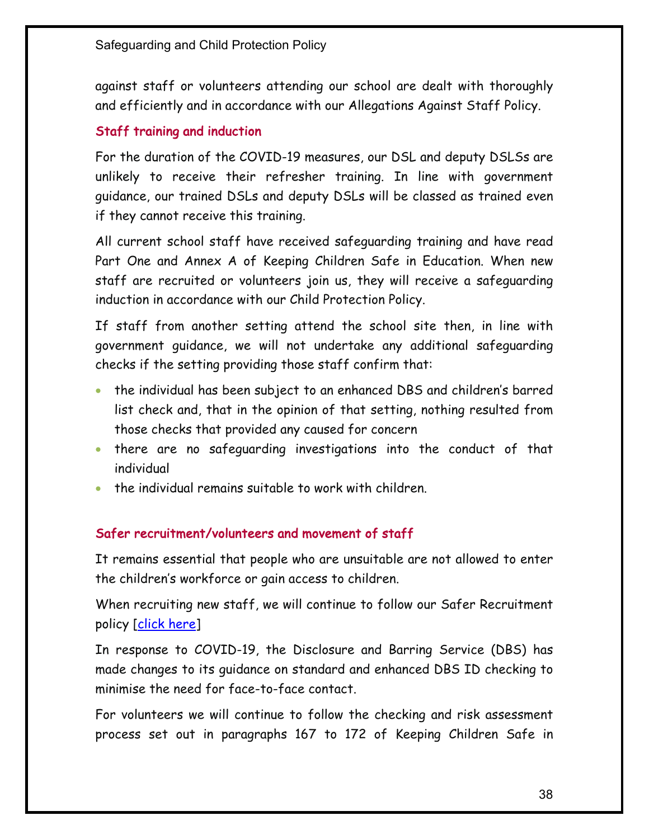against staff or volunteers attending our school are dealt with thoroughly and efficiently and in accordance with our Allegations Against Staff Policy.

## Staff training and induction

For the duration of the COVID-19 measures, our DSL and deputy DSLSs are unlikely to receive their refresher training. In line with government guidance, our trained DSLs and deputy DSLs will be classed as trained even if they cannot receive this training.

All current school staff have received safeguarding training and have read Part One and Annex A of Keeping Children Safe in Education. When new staff are recruited or volunteers join us, they will receive a safeguarding induction in accordance with our Child Protection Policy.

If staff from another setting attend the school site then, in line with government guidance, we will not undertake any additional safeguarding checks if the setting providing those staff confirm that:

- the individual has been subject to an enhanced DBS and children's barred list check and, that in the opinion of that setting, nothing resulted from those checks that provided any caused for concern
- there are no safeguarding investigations into the conduct of that individual
- the individual remains suitable to work with children.

## Safer recruitment/volunteers and movement of staff

It remains essential that people who are unsuitable are not allowed to enter the children's workforce or gain access to children.

When recruiting new staff, we will continue to follow our Safer Recruitment policy <u>[click here</u>]

In response to COVID-19, the Disclosure and Barring Service (DBS) has made changes to its guidance on standard and enhanced DBS ID checking to minimise the need for face-to-face contact.

For volunteers we will continue to follow the checking and risk assessment process set out in paragraphs 167 to 172 of Keeping Children Safe in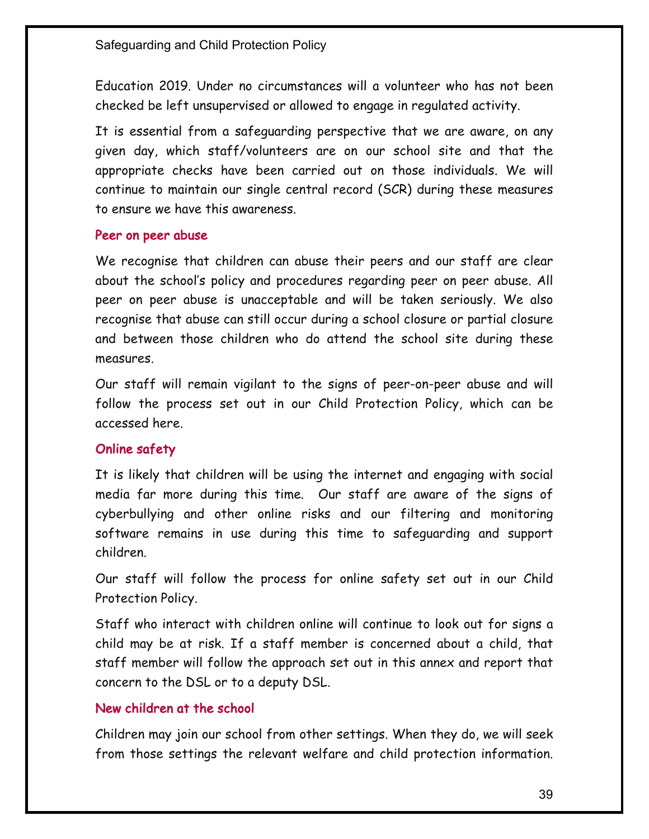Education 2019. Under no circumstances will a volunteer who has not been checked be left unsupervised or allowed to engage in regulated activity.

It is essential from a safeguarding perspective that we are aware, on any given day, which staff/volunteers are on our school site and that the appropriate checks have been carried out on those individuals. We will continue to maintain our single central record (SCR) during these measures to ensure we have this awareness.

#### Peer on peer abuse

We recognise that children can abuse their peers and our staff are clear about the school's policy and procedures regarding peer on peer abuse. All peer on peer abuse is unacceptable and will be taken seriously. We also recognise that abuse can still occur during a school closure or partial closure and between those children who do attend the school site during these measures.

Our staff will remain vigilant to the signs of peer-on-peer abuse and will follow the process set out in our Child Protection Policy, which can be accessed here.

#### Online safety

It is likely that children will be using the internet and engaging with social media far more during this time. Our staff are aware of the signs of cyberbullying and other online risks and our filtering and monitoring software remains in use during this time to safeguarding and support children.

Our staff will follow the process for online safety set out in our Child Protection Policy.

Staff who interact with children online will continue to look out for signs a child may be at risk. If a staff member is concerned about a child, that staff member will follow the approach set out in this annex and report that concern to the DSL or to a deputy DSL.

#### New children at the school

Children may join our school from other settings. When they do, we will seek from those settings the relevant welfare and child protection information.